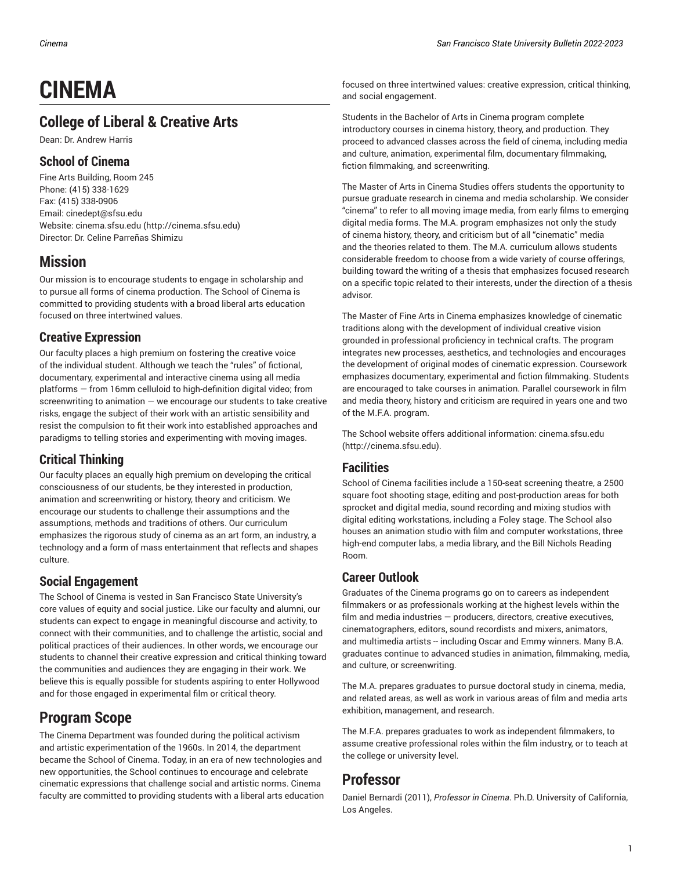# **CINEMA**

## **College of Liberal & Creative Arts**

Dean: Dr. Andrew Harris

## **School of Cinema**

Fine Arts Building, Room 245 Phone: (415) 338-1629 Fax: (415) 338-0906 Email: [cinedept@sfsu.edu](mailto:cinedept@sfsu.edu) Website: [cinema.sfsu.edu \(http://cinema.sfsu.edu](http://cinema.sfsu.edu)) Director: Dr. Celine Parreñas Shimizu

## **Mission**

Our mission is to encourage students to engage in scholarship and to pursue all forms of cinema production. The School of Cinema is committed to providing students with a broad liberal arts education focused on three intertwined values.

## **Creative Expression**

Our faculty places a high premium on fostering the creative voice of the individual student. Although we teach the "rules" of fictional, documentary, experimental and interactive cinema using all media platforms — from 16mm celluloid to high-definition digital video; from screenwriting to animation  $-$  we encourage our students to take creative risks, engage the subject of their work with an artistic sensibility and resist the compulsion to fit their work into established approaches and paradigms to telling stories and experimenting with moving images.

## **Critical Thinking**

Our faculty places an equally high premium on developing the critical consciousness of our students, be they interested in production, animation and screenwriting or history, theory and criticism. We encourage our students to challenge their assumptions and the assumptions, methods and traditions of others. Our curriculum emphasizes the rigorous study of cinema as an art form, an industry, a technology and a form of mass entertainment that reflects and shapes culture.

## **Social Engagement**

The School of Cinema is vested in San Francisco State University's core values of equity and social justice. Like our faculty and alumni, our students can expect to engage in meaningful discourse and activity, to connect with their communities, and to challenge the artistic, social and political practices of their audiences. In other words, we encourage our students to channel their creative expression and critical thinking toward the communities and audiences they are engaging in their work. We believe this is equally possible for students aspiring to enter Hollywood and for those engaged in experimental film or critical theory.

## **Program Scope**

The Cinema Department was founded during the political activism and artistic experimentation of the 1960s. In 2014, the department became the School of Cinema. Today, in an era of new technologies and new opportunities, the School continues to encourage and celebrate cinematic expressions that challenge social and artistic norms. Cinema faculty are committed to providing students with a liberal arts education focused on three intertwined values: creative expression, critical thinking, and social engagement.

Students in the Bachelor of Arts in Cinema program complete introductory courses in cinema history, theory, and production. They proceed to advanced classes across the field of cinema, including media and culture, animation, experimental film, documentary filmmaking, fiction filmmaking, and screenwriting.

The Master of Arts in Cinema Studies offers students the opportunity to pursue graduate research in cinema and media scholarship. We consider "cinema" to refer to all moving image media, from early films to emerging digital media forms. The M.A. program emphasizes not only the study of cinema history, theory, and criticism but of all "cinematic" media and the theories related to them. The M.A. curriculum allows students considerable freedom to choose from a wide variety of course offerings, building toward the writing of a thesis that emphasizes focused research on a specific topic related to their interests, under the direction of a thesis advisor.

The Master of Fine Arts in Cinema emphasizes knowledge of cinematic traditions along with the development of individual creative vision grounded in professional proficiency in technical crafts. The program integrates new processes, aesthetics, and technologies and encourages the development of original modes of cinematic expression. Coursework emphasizes documentary, experimental and fiction filmmaking. Students are encouraged to take courses in animation. Parallel coursework in film and media theory, history and criticism are required in years one and two of the M.F.A. program.

The School website offers additional information: [cinema.sfsu.edu](http://cinema.sfsu.edu) [\(http://cinema.sfsu.edu\)](http://cinema.sfsu.edu).

## **Facilities**

School of Cinema facilities include a 150-seat screening theatre, a 2500 square foot shooting stage, editing and post-production areas for both sprocket and digital media, sound recording and mixing studios with digital editing workstations, including a Foley stage. The School also houses an animation studio with film and computer workstations, three high-end computer labs, a media library, and the Bill Nichols Reading Room.

## **Career Outlook**

Graduates of the Cinema programs go on to careers as independent filmmakers or as professionals working at the highest levels within the film and media industries — producers, directors, creative executives, cinematographers, editors, sound recordists and mixers, animators, and multimedia artists -- including Oscar and Emmy winners. Many B.A. graduates continue to advanced studies in animation, filmmaking, media, and culture, or screenwriting.

The M.A. prepares graduates to pursue doctoral study in cinema, media, and related areas, as well as work in various areas of film and media arts exhibition, management, and research.

The M.F.A. prepares graduates to work as independent filmmakers, to assume creative professional roles within the film industry, or to teach at the college or university level.

## **Professor**

Daniel Bernardi (2011), *Professor in Cinema*. Ph.D. University of California, Los Angeles.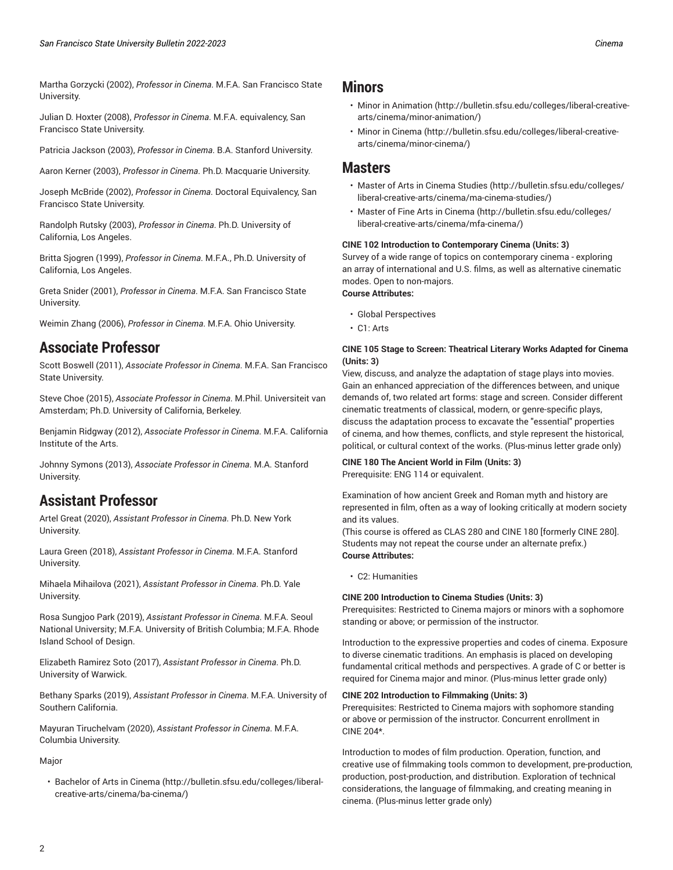Martha Gorzycki (2002), *Professor in Cinema*. M.F.A. San Francisco State University.

Julian D. Hoxter (2008), *Professor in Cinema*. M.F.A. equivalency, San Francisco State University.

Patricia Jackson (2003), *Professor in Cinema*. B.A. Stanford University.

Aaron Kerner (2003), *Professor in Cinema*. Ph.D. Macquarie University.

Joseph McBride (2002), *Professor in Cinema*. Doctoral Equivalency, San Francisco State University.

Randolph Rutsky (2003), *Professor in Cinema*. Ph.D. University of California, Los Angeles.

Britta Sjogren (1999), *Professor in Cinema*. M.F.A., Ph.D. University of California, Los Angeles.

Greta Snider (2001), *Professor in Cinema*. M.F.A. San Francisco State University.

Weimin Zhang (2006), *Professor in Cinema*. M.F.A. Ohio University.

## **Associate Professor**

Scott Boswell (2011), *Associate Professor in Cinema*. M.F.A. San Francisco State University.

Steve Choe (2015), *Associate Professor in Cinema*. M.Phil. Universiteit van Amsterdam; Ph.D. University of California, Berkeley.

Benjamin Ridgway (2012), *Associate Professor in Cinema*. M.F.A. California Institute of the Arts.

Johnny Symons (2013), *Associate Professor in Cinema*. M.A. Stanford **University** 

## **Assistant Professor**

Artel Great (2020), *Assistant Professor in Cinema*. Ph.D. New York University.

Laura Green (2018), *Assistant Professor in Cinema*. M.F.A. Stanford University.

Mihaela Mihailova (2021), *Assistant Professor in Cinema*. Ph.D. Yale University.

Rosa Sungjoo Park (2019), *Assistant Professor in Cinema*. M.F.A. Seoul National University; M.F.A. University of British Columbia; M.F.A. Rhode Island School of Design.

Elizabeth Ramirez Soto (2017), *Assistant Professor in Cinema*. Ph.D. University of Warwick.

Bethany Sparks (2019), *Assistant Professor in Cinema*. M.F.A. University of Southern California.

Mayuran Tiruchelvam (2020), *Assistant Professor in Cinema*. M.F.A. Columbia University.

### Major

• [Bachelor](http://bulletin.sfsu.edu/colleges/liberal-creative-arts/cinema/ba-cinema/) of Arts in Cinema [\(http://bulletin.sfsu.edu/colleges/liberal](http://bulletin.sfsu.edu/colleges/liberal-creative-arts/cinema/ba-cinema/)[creative-arts/cinema/ba-cinema/\)](http://bulletin.sfsu.edu/colleges/liberal-creative-arts/cinema/ba-cinema/)

## **Minors**

- [Minor in Animation \(http://bulletin.sfsu.edu/colleges/liberal-creative](http://bulletin.sfsu.edu/colleges/liberal-creative-arts/cinema/minor-animation/)[arts/cinema/minor-animation/](http://bulletin.sfsu.edu/colleges/liberal-creative-arts/cinema/minor-animation/))
- [Minor in Cinema](http://bulletin.sfsu.edu/colleges/liberal-creative-arts/cinema/minor-cinema/) ([http://bulletin.sfsu.edu/colleges/liberal-creative](http://bulletin.sfsu.edu/colleges/liberal-creative-arts/cinema/minor-cinema/)[arts/cinema/minor-cinema/](http://bulletin.sfsu.edu/colleges/liberal-creative-arts/cinema/minor-cinema/))

## **Masters**

- Master of Arts in Cinema [Studies \(http://bulletin.sfsu.edu/colleges/](http://bulletin.sfsu.edu/colleges/liberal-creative-arts/cinema/ma-cinema-studies/) [liberal-creative-arts/cinema/ma-cinema-studies/](http://bulletin.sfsu.edu/colleges/liberal-creative-arts/cinema/ma-cinema-studies/))
- Master of Fine Arts in [Cinema](http://bulletin.sfsu.edu/colleges/liberal-creative-arts/cinema/mfa-cinema/) ([http://bulletin.sfsu.edu/colleges/](http://bulletin.sfsu.edu/colleges/liberal-creative-arts/cinema/mfa-cinema/) [liberal-creative-arts/cinema/mfa-cinema/](http://bulletin.sfsu.edu/colleges/liberal-creative-arts/cinema/mfa-cinema/))

#### **CINE 102 Introduction to Contemporary Cinema (Units: 3)**

Survey of a wide range of topics on contemporary cinema - exploring an array of international and U.S. films, as well as alternative cinematic modes. Open to non-majors.

### **Course Attributes:**

- Global Perspectives
- C1: Arts

#### **CINE 105 Stage to Screen: Theatrical Literary Works Adapted for Cinema (Units: 3)**

View, discuss, and analyze the adaptation of stage plays into movies. Gain an enhanced appreciation of the differences between, and unique demands of, two related art forms: stage and screen. Consider different cinematic treatments of classical, modern, or genre-specific plays, discuss the adaptation process to excavate the "essential" properties of cinema, and how themes, conflicts, and style represent the historical, political, or cultural context of the works. (Plus-minus letter grade only)

#### **CINE 180 The Ancient World in Film (Units: 3)** Prerequisite: ENG 114 or equivalent.

Examination of how ancient Greek and Roman myth and history are represented in film, often as a way of looking critically at modern society and its values.

(This course is offered as CLAS 280 and CINE 180 [formerly CINE 280]. Students may not repeat the course under an alternate prefix.) **Course Attributes:**

• C2: Humanities

### **CINE 200 Introduction to Cinema Studies (Units: 3)**

Prerequisites: Restricted to Cinema majors or minors with a sophomore standing or above; or permission of the instructor.

Introduction to the expressive properties and codes of cinema. Exposure to diverse cinematic traditions. An emphasis is placed on developing fundamental critical methods and perspectives. A grade of C or better is required for Cinema major and minor. (Plus-minus letter grade only)

#### **CINE 202 Introduction to Filmmaking (Units: 3)**

Prerequisites: Restricted to Cinema majors with sophomore standing or above or permission of the instructor. Concurrent enrollment in CINE 204\*.

Introduction to modes of film production. Operation, function, and creative use of filmmaking tools common to development, pre-production, production, post-production, and distribution. Exploration of technical considerations, the language of filmmaking, and creating meaning in cinema. (Plus-minus letter grade only)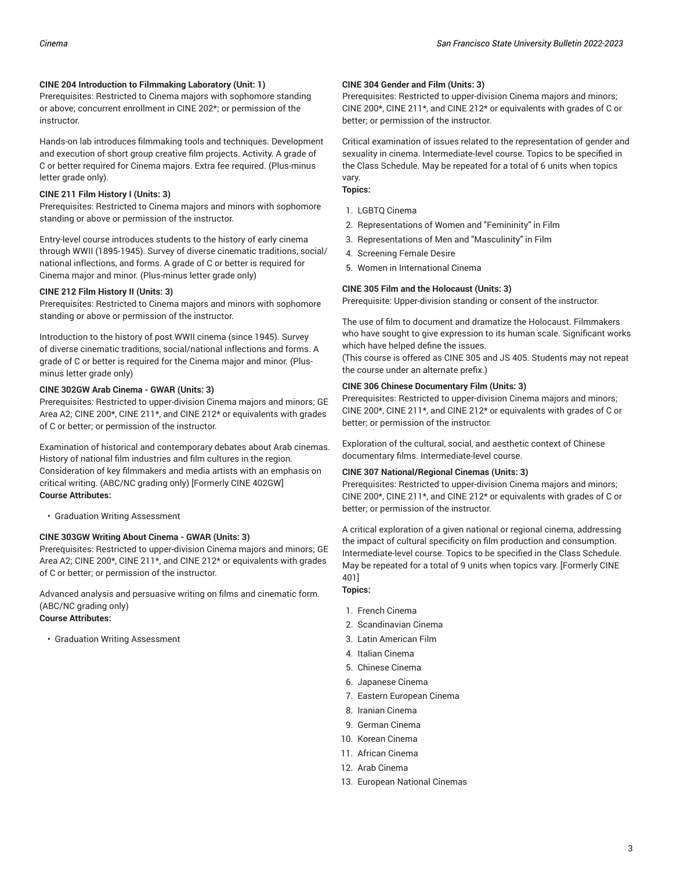#### **CINE 204 Introduction to Filmmaking Laboratory (Unit: 1)**

Prerequisites: Restricted to Cinema majors with sophomore standing or above; concurrent enrollment in CINE 202\*; or permission of the instructor.

Hands-on lab introduces filmmaking tools and techniques. Development and execution of short group creative film projects. Activity. A grade of C or better required for Cinema majors. Extra fee required. (Plus-minus letter grade only).

#### **CINE 211 Film History I (Units: 3)**

Prerequisites: Restricted to Cinema majors and minors with sophomore standing or above or permission of the instructor.

Entry-level course introduces students to the history of early cinema through WWII (1895-1945). Survey of diverse cinematic traditions, social/ national inflections, and forms. A grade of C or better is required for Cinema major and minor. (Plus-minus letter grade only)

#### **CINE 212 Film History II (Units: 3)**

Prerequisites: Restricted to Cinema majors and minors with sophomore standing or above or permission of the instructor.

Introduction to the history of post WWII cinema (since 1945). Survey of diverse cinematic traditions, social/national inflections and forms. A grade of C or better is required for the Cinema major and minor. (Plusminus letter grade only)

#### **CINE 302GW Arab Cinema - GWAR (Units: 3)**

Prerequisites: Restricted to upper-division Cinema majors and minors; GE Area A2; CINE 200\*, CINE 211\*, and CINE 212\* or equivalents with grades of C or better; or permission of the instructor.

Examination of historical and contemporary debates about Arab cinemas. History of national film industries and film cultures in the region. Consideration of key filmmakers and media artists with an emphasis on critical writing. (ABC/NC grading only) [Formerly CINE 402GW] **Course Attributes:**

• Graduation Writing Assessment

#### **CINE 303GW Writing About Cinema - GWAR (Units: 3)**

Prerequisites: Restricted to upper-division Cinema majors and minors; GE Area A2; CINE 200\*, CINE 211\*, and CINE 212\* or equivalents with grades of C or better; or permission of the instructor.

Advanced analysis and persuasive writing on films and cinematic form. (ABC/NC grading only) **Course Attributes:**

• Graduation Writing Assessment

#### **CINE 304 Gender and Film (Units: 3)**

Prerequisites: Restricted to upper-division Cinema majors and minors; CINE 200\*, CINE 211\*, and CINE 212\* or equivalents with grades of C or better; or permission of the instructor.

Critical examination of issues related to the representation of gender and sexuality in cinema. Intermediate-level course. Topics to be specified in the Class Schedule. May be repeated for a total of 6 units when topics vary.

### **Topics:**

- 1. LGBTQ Cinema
- 2. Representations of Women and "Femininity" in Film
- 3. Representations of Men and "Masculinity" in Film
- 4. Screening Female Desire
- 5. Women in International Cinema

#### **CINE 305 Film and the Holocaust (Units: 3)**

Prerequisite: Upper-division standing or consent of the instructor.

The use of film to document and dramatize the Holocaust. Filmmakers who have sought to give expression to its human scale. Significant works which have helped define the issues.

(This course is offered as CINE 305 and JS 405. Students may not repeat the course under an alternate prefix.)

### **CINE 306 Chinese Documentary Film (Units: 3)**

Prerequisites: Restricted to upper-division Cinema majors and minors; CINE 200\*, CINE 211\*, and CINE 212\* or equivalents with grades of C or better; or permission of the instructor.

Exploration of the cultural, social, and aesthetic context of Chinese documentary films. Intermediate-level course.

#### **CINE 307 National/Regional Cinemas (Units: 3)**

Prerequisites: Restricted to upper-division Cinema majors and minors; CINE 200\*, CINE 211\*, and CINE 212\* or equivalents with grades of C or better; or permission of the instructor.

A critical exploration of a given national or regional cinema, addressing the impact of cultural specificity on film production and consumption. Intermediate-level course. Topics to be specified in the Class Schedule. May be repeated for a total of 9 units when topics vary. [Formerly CINE 401]

**Topics:**

- 1. French Cinema
- 2. Scandinavian Cinema
- 3. Latin American Film
- 4. Italian Cinema
- 5. Chinese Cinema
- 6. Japanese Cinema
- 7. Eastern European Cinema
- 8. Iranian Cinema
- 9. German Cinema
- 10. Korean Cinema
- 11. African Cinema
- 12. Arab Cinema
- 13. European National Cinemas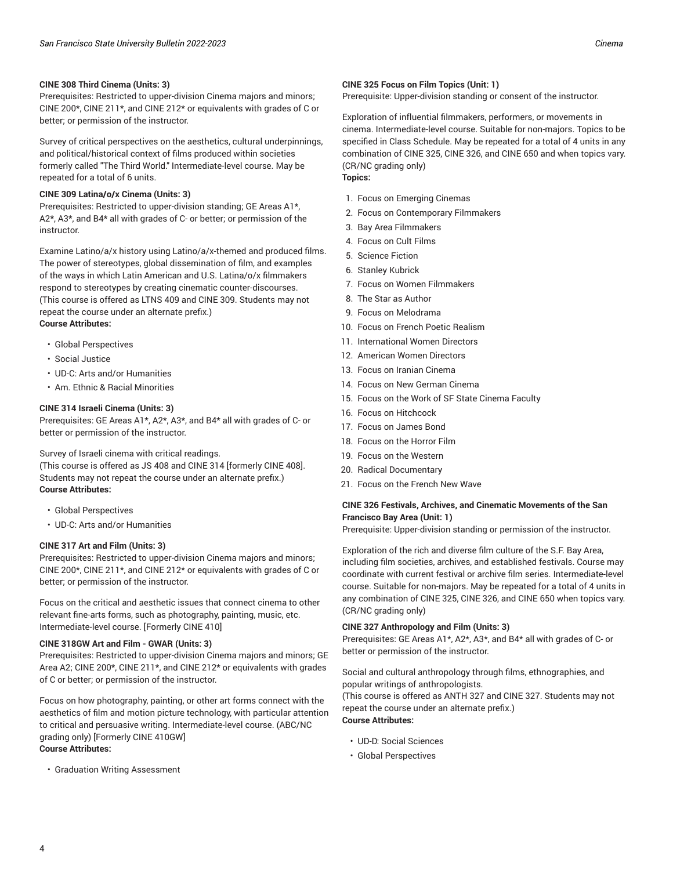Prerequisites: Restricted to upper-division Cinema majors and minors; CINE 200\*, CINE 211\*, and CINE 212\* or equivalents with grades of C or better; or permission of the instructor.

Survey of critical perspectives on the aesthetics, cultural underpinnings, and political/historical context of films produced within societies formerly called "The Third World." Intermediate-level course. May be repeated for a total of 6 units.

#### **CINE 309 Latina/o/x Cinema (Units: 3)**

Prerequisites: Restricted to upper-division standing; GE Areas A1\*, A2\*, A3\*, and B4\* all with grades of C- or better; or permission of the instructor.

Examine Latino/a/x history using Latino/a/x-themed and produced films. The power of stereotypes, global dissemination of film, and examples of the ways in which Latin American and U.S. Latina/o/x filmmakers respond to stereotypes by creating cinematic counter-discourses. (This course is offered as LTNS 409 and CINE 309. Students may not repeat the course under an alternate prefix.) **Course Attributes:**

- Global Perspectives
- Social Justice
- UD-C: Arts and/or Humanities
- Am. Ethnic & Racial Minorities

#### **CINE 314 Israeli Cinema (Units: 3)**

Prerequisites: GE Areas A1\*, A2\*, A3\*, and B4\* all with grades of C- or better or permission of the instructor.

Survey of Israeli cinema with critical readings.

(This course is offered as JS 408 and CINE 314 [formerly CINE 408]. Students may not repeat the course under an alternate prefix.) **Course Attributes:**

- Global Perspectives
- UD-C: Arts and/or Humanities

#### **CINE 317 Art and Film (Units: 3)**

Prerequisites: Restricted to upper-division Cinema majors and minors; CINE 200\*, CINE 211\*, and CINE 212\* or equivalents with grades of C or better; or permission of the instructor.

Focus on the critical and aesthetic issues that connect cinema to other relevant fine-arts forms, such as photography, painting, music, etc. Intermediate-level course. [Formerly CINE 410]

#### **CINE 318GW Art and Film - GWAR (Units: 3)**

Prerequisites: Restricted to upper-division Cinema majors and minors; GE Area A2; CINE 200\*, CINE 211\*, and CINE 212\* or equivalents with grades of C or better; or permission of the instructor.

Focus on how photography, painting, or other art forms connect with the aesthetics of film and motion picture technology, with particular attention to critical and persuasive writing. Intermediate-level course. (ABC/NC grading only) [Formerly CINE 410GW] **Course Attributes:**

• Graduation Writing Assessment

#### **CINE 325 Focus on Film Topics (Unit: 1)**

Prerequisite: Upper-division standing or consent of the instructor.

Exploration of influential filmmakers, performers, or movements in cinema. Intermediate-level course. Suitable for non-majors. Topics to be specified in Class Schedule. May be repeated for a total of 4 units in any combination of CINE 325, CINE 326, and CINE 650 and when topics vary. (CR/NC grading only)

## **Topics:**

- 1. Focus on Emerging Cinemas
- 2. Focus on Contemporary Filmmakers
- 3. Bay Area Filmmakers
- 4. Focus on Cult Films
- 5. Science Fiction
- 6. Stanley Kubrick
- 7. Focus on Women Filmmakers
- 8. The Star as Author
- 9. Focus on Melodrama
- 10. Focus on French Poetic Realism
- 11. International Women Directors
- 12. American Women Directors
- 13. Focus on Iranian Cinema
- 14. Focus on New German Cinema
- 15. Focus on the Work of SF State Cinema Faculty
- 16. Focus on Hitchcock
- 17. Focus on James Bond
- 18. Focus on the Horror Film
- 19. Focus on the Western
- 20. Radical Documentary
- 21. Focus on the French New Wave

### **CINE 326 Festivals, Archives, and Cinematic Movements of the San Francisco Bay Area (Unit: 1)**

Prerequisite: Upper-division standing or permission of the instructor.

Exploration of the rich and diverse film culture of the S.F. Bay Area, including film societies, archives, and established festivals. Course may coordinate with current festival or archive film series. Intermediate-level course. Suitable for non-majors. May be repeated for a total of 4 units in any combination of CINE 325, CINE 326, and CINE 650 when topics vary. (CR/NC grading only)

#### **CINE 327 Anthropology and Film (Units: 3)**

Prerequisites: GE Areas A1\*, A2\*, A3\*, and B4\* all with grades of C- or better or permission of the instructor.

Social and cultural anthropology through films, ethnographies, and popular writings of anthropologists.

(This course is offered as ANTH 327 and CINE 327. Students may not repeat the course under an alternate prefix.) **Course Attributes:**

- UD-D: Social Sciences
- Global Perspectives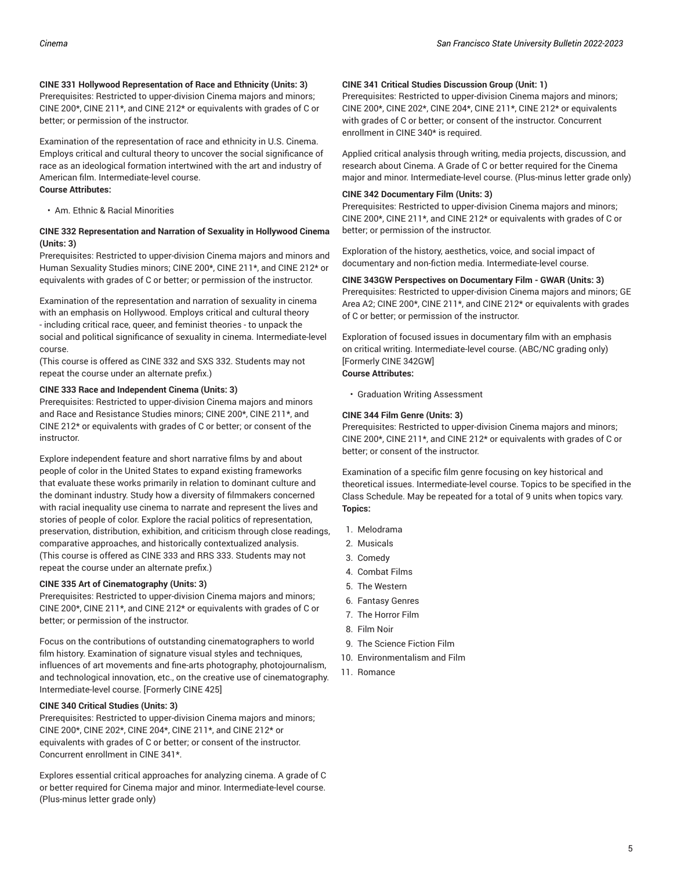#### **CINE 331 Hollywood Representation of Race and Ethnicity (Units: 3)**

Prerequisites: Restricted to upper-division Cinema majors and minors; CINE 200\*, CINE 211\*, and CINE 212\* or equivalents with grades of C or better; or permission of the instructor.

Examination of the representation of race and ethnicity in U.S. Cinema. Employs critical and cultural theory to uncover the social significance of race as an ideological formation intertwined with the art and industry of American film. Intermediate-level course. **Course Attributes:**

• Am. Ethnic & Racial Minorities

#### **CINE 332 Representation and Narration of Sexuality in Hollywood Cinema (Units: 3)**

Prerequisites: Restricted to upper-division Cinema majors and minors and Human Sexuality Studies minors; CINE 200\*, CINE 211\*, and CINE 212\* or equivalents with grades of C or better; or permission of the instructor.

Examination of the representation and narration of sexuality in cinema with an emphasis on Hollywood. Employs critical and cultural theory - including critical race, queer, and feminist theories - to unpack the social and political significance of sexuality in cinema. Intermediate-level course.

(This course is offered as CINE 332 and SXS 332. Students may not repeat the course under an alternate prefix.)

#### **CINE 333 Race and Independent Cinema (Units: 3)**

Prerequisites: Restricted to upper-division Cinema majors and minors and Race and Resistance Studies minors; CINE 200\*, CINE 211\*, and CINE 212\* or equivalents with grades of C or better; or consent of the instructor.

Explore independent feature and short narrative films by and about people of color in the United States to expand existing frameworks that evaluate these works primarily in relation to dominant culture and the dominant industry. Study how a diversity of filmmakers concerned with racial inequality use cinema to narrate and represent the lives and stories of people of color. Explore the racial politics of representation, preservation, distribution, exhibition, and criticism through close readings, comparative approaches, and historically contextualized analysis. (This course is offered as CINE 333 and RRS 333. Students may not repeat the course under an alternate prefix.)

#### **CINE 335 Art of Cinematography (Units: 3)**

Prerequisites: Restricted to upper-division Cinema majors and minors; CINE 200\*, CINE 211\*, and CINE 212\* or equivalents with grades of C or better; or permission of the instructor.

Focus on the contributions of outstanding cinematographers to world film history. Examination of signature visual styles and techniques, influences of art movements and fine-arts photography, photojournalism, and technological innovation, etc., on the creative use of cinematography. Intermediate-level course. [Formerly CINE 425]

#### **CINE 340 Critical Studies (Units: 3)**

Prerequisites: Restricted to upper-division Cinema majors and minors; CINE 200\*, CINE 202\*, CINE 204\*, CINE 211\*, and CINE 212\* or equivalents with grades of C or better; or consent of the instructor. Concurrent enrollment in CINE 341\*.

Explores essential critical approaches for analyzing cinema. A grade of C or better required for Cinema major and minor. Intermediate-level course. (Plus-minus letter grade only)

#### **CINE 341 Critical Studies Discussion Group (Unit: 1)**

Prerequisites: Restricted to upper-division Cinema majors and minors; CINE 200\*, CINE 202\*, CINE 204\*, CINE 211\*, CINE 212\* or equivalents with grades of C or better; or consent of the instructor. Concurrent enrollment in CINE 340\* is required.

Applied critical analysis through writing, media projects, discussion, and research about Cinema. A Grade of C or better required for the Cinema major and minor. Intermediate-level course. (Plus-minus letter grade only)

#### **CINE 342 Documentary Film (Units: 3)**

Prerequisites: Restricted to upper-division Cinema majors and minors; CINE 200\*, CINE 211\*, and CINE 212\* or equivalents with grades of C or better; or permission of the instructor.

Exploration of the history, aesthetics, voice, and social impact of documentary and non-fiction media. Intermediate-level course.

#### **CINE 343GW Perspectives on Documentary Film - GWAR (Units: 3)**

Prerequisites: Restricted to upper-division Cinema majors and minors; GE Area A2; CINE 200\*, CINE 211\*, and CINE 212\* or equivalents with grades of C or better; or permission of the instructor.

Exploration of focused issues in documentary film with an emphasis on critical writing. Intermediate-level course. (ABC/NC grading only) [Formerly CINE 342GW] **Course Attributes:**

### • Graduation Writing Assessment

#### **CINE 344 Film Genre (Units: 3)**

Prerequisites: Restricted to upper-division Cinema majors and minors; CINE 200\*, CINE 211\*, and CINE 212\* or equivalents with grades of C or better; or consent of the instructor.

Examination of a specific film genre focusing on key historical and theoretical issues. Intermediate-level course. Topics to be specified in the Class Schedule. May be repeated for a total of 9 units when topics vary. **Topics:**

- 1. Melodrama
- 2. Musicals
- 3. Comedy
- 4. Combat Films
- 5. The Western
- 6. Fantasy Genres
- 7. The Horror Film
- 8. Film Noir
- 9. The Science Fiction Film
- 10. Environmentalism and Film
- 11. Romance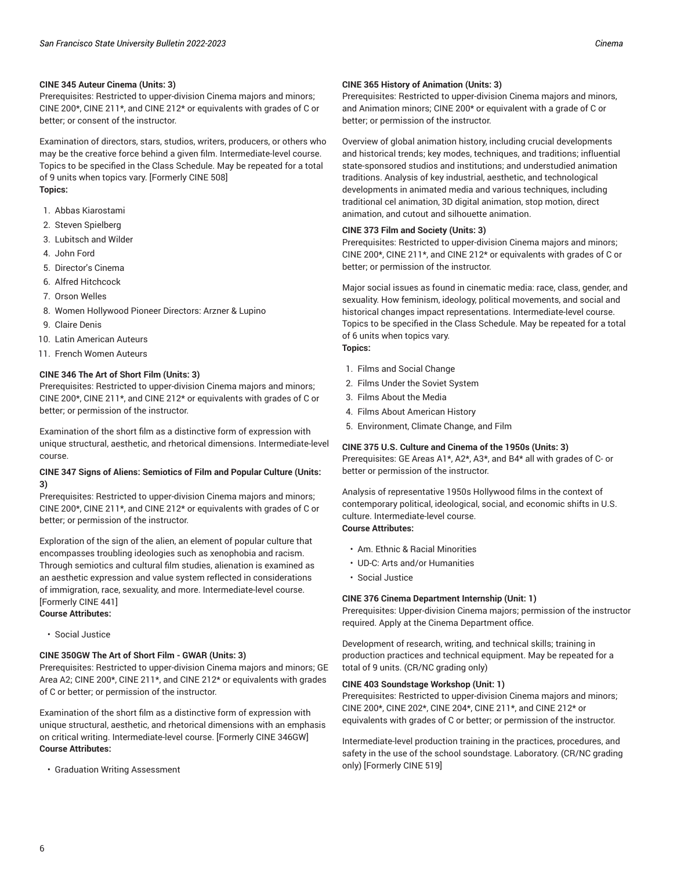#### **CINE 345 Auteur Cinema (Units: 3)**

Prerequisites: Restricted to upper-division Cinema majors and minors; CINE 200\*, CINE 211\*, and CINE 212\* or equivalents with grades of C or better; or consent of the instructor.

Examination of directors, stars, studios, writers, producers, or others who may be the creative force behind a given film. Intermediate-level course. Topics to be specified in the Class Schedule. May be repeated for a total of 9 units when topics vary. [Formerly CINE 508] **Topics:**

- 1. Abbas Kiarostami
- 2. Steven Spielberg
- 3. Lubitsch and Wilder
- 4. John Ford
- 5. Director's Cinema
- 6. Alfred Hitchcock
- 7. Orson Welles
- 8. Women Hollywood Pioneer Directors: Arzner & Lupino
- 9. Claire Denis
- 10. Latin American Auteurs
- 11. French Women Auteurs

#### **CINE 346 The Art of Short Film (Units: 3)**

Prerequisites: Restricted to upper-division Cinema majors and minors; CINE 200\*, CINE 211\*, and CINE 212\* or equivalents with grades of C or better; or permission of the instructor.

Examination of the short film as a distinctive form of expression with unique structural, aesthetic, and rhetorical dimensions. Intermediate-level course.

#### **CINE 347 Signs of Aliens: Semiotics of Film and Popular Culture (Units: 3)**

Prerequisites: Restricted to upper-division Cinema majors and minors; CINE 200\*, CINE 211\*, and CINE 212\* or equivalents with grades of C or better; or permission of the instructor.

Exploration of the sign of the alien, an element of popular culture that encompasses troubling ideologies such as xenophobia and racism. Through semiotics and cultural film studies, alienation is examined as an aesthetic expression and value system reflected in considerations of immigration, race, sexuality, and more. Intermediate-level course. [Formerly CINE 441]

- **Course Attributes:**
	- Social Justice

#### **CINE 350GW The Art of Short Film - GWAR (Units: 3)**

Prerequisites: Restricted to upper-division Cinema majors and minors; GE Area A2; CINE 200\*, CINE 211\*, and CINE 212\* or equivalents with grades of C or better; or permission of the instructor.

Examination of the short film as a distinctive form of expression with unique structural, aesthetic, and rhetorical dimensions with an emphasis on critical writing. Intermediate-level course. [Formerly CINE 346GW] **Course Attributes:**

• Graduation Writing Assessment

#### **CINE 365 History of Animation (Units: 3)**

Prerequisites: Restricted to upper-division Cinema majors and minors, and Animation minors; CINE 200\* or equivalent with a grade of C or better; or permission of the instructor.

Overview of global animation history, including crucial developments and historical trends; key modes, techniques, and traditions; influential state-sponsored studios and institutions; and understudied animation traditions. Analysis of key industrial, aesthetic, and technological developments in animated media and various techniques, including traditional cel animation, 3D digital animation, stop motion, direct animation, and cutout and silhouette animation.

#### **CINE 373 Film and Society (Units: 3)**

Prerequisites: Restricted to upper-division Cinema majors and minors; CINE 200\*, CINE 211\*, and CINE 212\* or equivalents with grades of C or better; or permission of the instructor.

Major social issues as found in cinematic media: race, class, gender, and sexuality. How feminism, ideology, political movements, and social and historical changes impact representations. Intermediate-level course. Topics to be specified in the Class Schedule. May be repeated for a total of 6 units when topics vary. **Topics:**

- 1. Films and Social Change
- 2. Films Under the Soviet System
- 3. Films About the Media
- 4. Films About American History
- 5. Environment, Climate Change, and Film

#### **CINE 375 U.S. Culture and Cinema of the 1950s (Units: 3)**

Prerequisites: GE Areas A1\*, A2\*, A3\*, and B4\* all with grades of C- or better or permission of the instructor.

Analysis of representative 1950s Hollywood films in the context of contemporary political, ideological, social, and economic shifts in U.S. culture. Intermediate-level course. **Course Attributes:**

- Am. Ethnic & Racial Minorities
- UD-C: Arts and/or Humanities
- Social Justice

#### **CINE 376 Cinema Department Internship (Unit: 1)**

Prerequisites: Upper-division Cinema majors; permission of the instructor required. Apply at the Cinema Department office.

Development of research, writing, and technical skills; training in production practices and technical equipment. May be repeated for a total of 9 units. (CR/NC grading only)

#### **CINE 403 Soundstage Workshop (Unit: 1)**

Prerequisites: Restricted to upper-division Cinema majors and minors; CINE 200\*, CINE 202\*, CINE 204\*, CINE 211\*, and CINE 212\* or equivalents with grades of C or better; or permission of the instructor.

Intermediate-level production training in the practices, procedures, and safety in the use of the school soundstage. Laboratory. (CR/NC grading only) [Formerly CINE 519]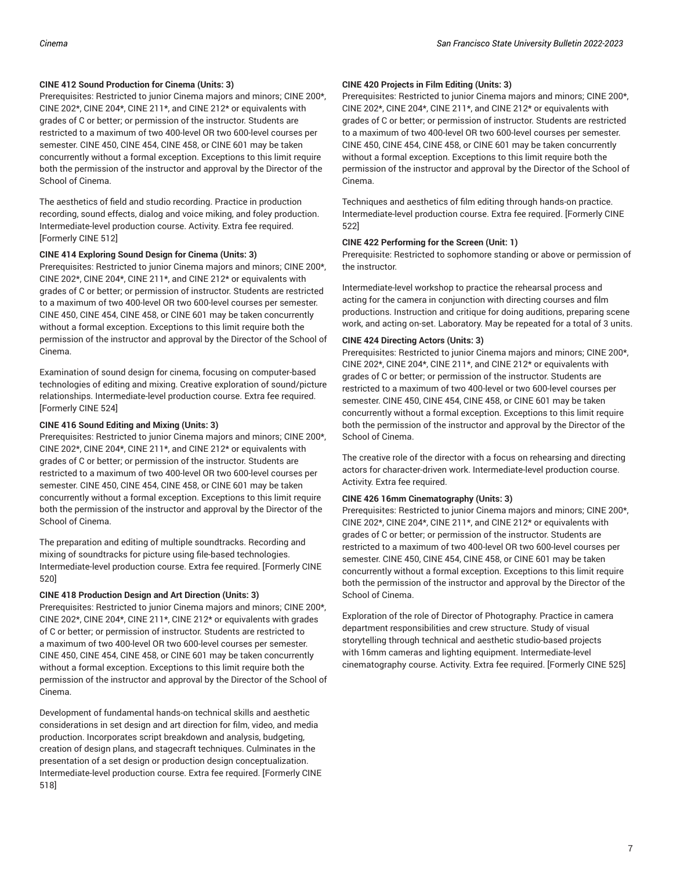#### **CINE 412 Sound Production for Cinema (Units: 3)**

Prerequisites: Restricted to junior Cinema majors and minors; CINE 200\*, CINE 202\*, CINE 204\*, CINE 211\*, and CINE 212\* or equivalents with grades of C or better; or permission of the instructor. Students are restricted to a maximum of two 400-level OR two 600-level courses per semester. CINE 450, CINE 454, CINE 458, or CINE 601 may be taken concurrently without a formal exception. Exceptions to this limit require both the permission of the instructor and approval by the Director of the School of Cinema.

The aesthetics of field and studio recording. Practice in production recording, sound effects, dialog and voice miking, and foley production. Intermediate-level production course. Activity. Extra fee required. [Formerly CINE 512]

#### **CINE 414 Exploring Sound Design for Cinema (Units: 3)**

Prerequisites: Restricted to junior Cinema majors and minors; CINE 200\*, CINE 202\*, CINE 204\*, CINE 211\*, and CINE 212\* or equivalents with grades of C or better; or permission of instructor. Students are restricted to a maximum of two 400-level OR two 600-level courses per semester. CINE 450, CINE 454, CINE 458, or CINE 601 may be taken concurrently without a formal exception. Exceptions to this limit require both the permission of the instructor and approval by the Director of the School of Cinema.

Examination of sound design for cinema, focusing on computer-based technologies of editing and mixing. Creative exploration of sound/picture relationships. Intermediate-level production course. Extra fee required. [Formerly CINE 524]

#### **CINE 416 Sound Editing and Mixing (Units: 3)**

Prerequisites: Restricted to junior Cinema majors and minors; CINE 200\*, CINE 202\*, CINE 204\*, CINE 211\*, and CINE 212\* or equivalents with grades of C or better; or permission of the instructor. Students are restricted to a maximum of two 400-level OR two 600-level courses per semester. CINE 450, CINE 454, CINE 458, or CINE 601 may be taken concurrently without a formal exception. Exceptions to this limit require both the permission of the instructor and approval by the Director of the School of Cinema.

The preparation and editing of multiple soundtracks. Recording and mixing of soundtracks for picture using file-based technologies. Intermediate-level production course. Extra fee required. [Formerly CINE 520]

#### **CINE 418 Production Design and Art Direction (Units: 3)**

Prerequisites: Restricted to junior Cinema majors and minors; CINE 200\*, CINE 202\*, CINE 204\*, CINE 211\*, CINE 212\* or equivalents with grades of C or better; or permission of instructor. Students are restricted to a maximum of two 400-level OR two 600-level courses per semester. CINE 450, CINE 454, CINE 458, or CINE 601 may be taken concurrently without a formal exception. Exceptions to this limit require both the permission of the instructor and approval by the Director of the School of Cinema.

Development of fundamental hands-on technical skills and aesthetic considerations in set design and art direction for film, video, and media production. Incorporates script breakdown and analysis, budgeting, creation of design plans, and stagecraft techniques. Culminates in the presentation of a set design or production design conceptualization. Intermediate-level production course. Extra fee required. [Formerly CINE 518]

#### **CINE 420 Projects in Film Editing (Units: 3)**

Prerequisites: Restricted to junior Cinema majors and minors; CINE 200\*, CINE 202\*, CINE 204\*, CINE 211\*, and CINE 212\* or equivalents with grades of C or better; or permission of instructor. Students are restricted to a maximum of two 400-level OR two 600-level courses per semester. CINE 450, CINE 454, CINE 458, or CINE 601 may be taken concurrently without a formal exception. Exceptions to this limit require both the permission of the instructor and approval by the Director of the School of Cinema.

Techniques and aesthetics of film editing through hands-on practice. Intermediate-level production course. Extra fee required. [Formerly CINE 522]

#### **CINE 422 Performing for the Screen (Unit: 1)**

Prerequisite: Restricted to sophomore standing or above or permission of the instructor.

Intermediate-level workshop to practice the rehearsal process and acting for the camera in conjunction with directing courses and film productions. Instruction and critique for doing auditions, preparing scene work, and acting on-set. Laboratory. May be repeated for a total of 3 units.

#### **CINE 424 Directing Actors (Units: 3)**

Prerequisites: Restricted to junior Cinema majors and minors; CINE 200\*, CINE 202\*, CINE 204\*, CINE 211\*, and CINE 212\* or equivalents with grades of C or better; or permission of the instructor. Students are restricted to a maximum of two 400-level or two 600-level courses per semester. CINE 450, CINE 454, CINE 458, or CINE 601 may be taken concurrently without a formal exception. Exceptions to this limit require both the permission of the instructor and approval by the Director of the School of Cinema.

The creative role of the director with a focus on rehearsing and directing actors for character-driven work. Intermediate-level production course. Activity. Extra fee required.

#### **CINE 426 16mm Cinematography (Units: 3)**

Prerequisites: Restricted to junior Cinema majors and minors; CINE 200\*, CINE 202\*, CINE 204\*, CINE 211\*, and CINE 212\* or equivalents with grades of C or better; or permission of the instructor. Students are restricted to a maximum of two 400-level OR two 600-level courses per semester. CINE 450, CINE 454, CINE 458, or CINE 601 may be taken concurrently without a formal exception. Exceptions to this limit require both the permission of the instructor and approval by the Director of the School of Cinema.

Exploration of the role of Director of Photography. Practice in camera department responsibilities and crew structure. Study of visual storytelling through technical and aesthetic studio-based projects with 16mm cameras and lighting equipment. Intermediate-level cinematography course. Activity. Extra fee required. [Formerly CINE 525]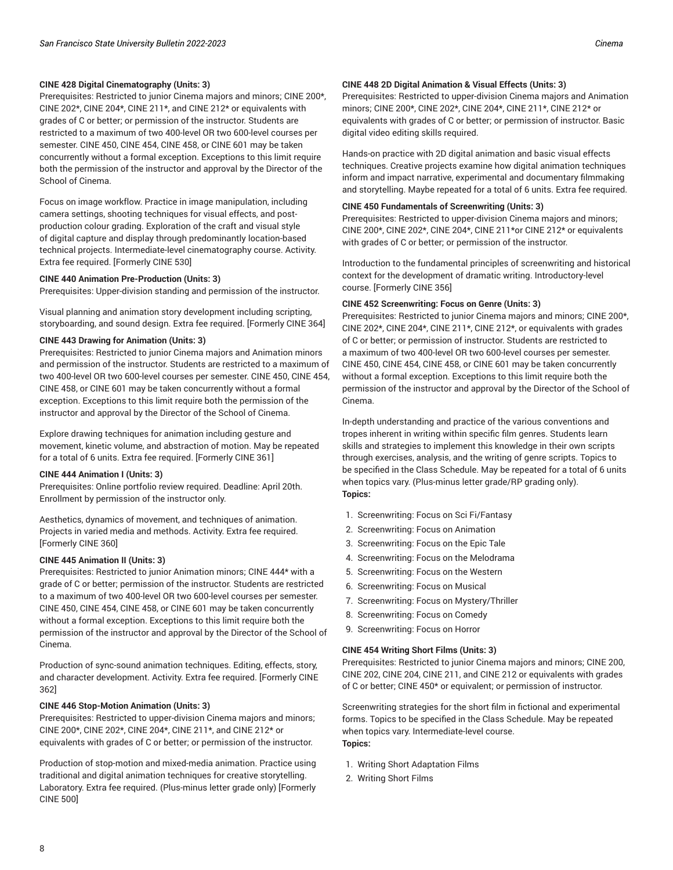Prerequisites: Restricted to junior Cinema majors and minors; CINE 200\*, CINE 202\*, CINE 204\*, CINE 211\*, and CINE 212\* or equivalents with grades of C or better; or permission of the instructor. Students are restricted to a maximum of two 400-level OR two 600-level courses per semester. CINE 450, CINE 454, CINE 458, or CINE 601 may be taken concurrently without a formal exception. Exceptions to this limit require both the permission of the instructor and approval by the Director of the School of Cinema.

Focus on image workflow. Practice in image manipulation, including camera settings, shooting techniques for visual effects, and postproduction colour grading. Exploration of the craft and visual style of digital capture and display through predominantly location-based technical projects. Intermediate-level cinematography course. Activity. Extra fee required. [Formerly CINE 530]

#### **CINE 440 Animation Pre-Production (Units: 3)**

Prerequisites: Upper-division standing and permission of the instructor.

Visual planning and animation story development including scripting, storyboarding, and sound design. Extra fee required. [Formerly CINE 364]

#### **CINE 443 Drawing for Animation (Units: 3)**

Prerequisites: Restricted to junior Cinema majors and Animation minors and permission of the instructor. Students are restricted to a maximum of two 400-level OR two 600-level courses per semester. CINE 450, CINE 454, CINE 458, or CINE 601 may be taken concurrently without a formal exception. Exceptions to this limit require both the permission of the instructor and approval by the Director of the School of Cinema.

Explore drawing techniques for animation including gesture and movement, kinetic volume, and abstraction of motion. May be repeated for a total of 6 units. Extra fee required. [Formerly CINE 361]

#### **CINE 444 Animation I (Units: 3)**

Prerequisites: Online portfolio review required. Deadline: April 20th. Enrollment by permission of the instructor only.

Aesthetics, dynamics of movement, and techniques of animation. Projects in varied media and methods. Activity. Extra fee required. [Formerly CINE 360]

#### **CINE 445 Animation II (Units: 3)**

Prerequisites: Restricted to junior Animation minors; CINE 444\* with a grade of C or better; permission of the instructor. Students are restricted to a maximum of two 400-level OR two 600-level courses per semester. CINE 450, CINE 454, CINE 458, or CINE 601 may be taken concurrently without a formal exception. Exceptions to this limit require both the permission of the instructor and approval by the Director of the School of Cinema.

Production of sync-sound animation techniques. Editing, effects, story, and character development. Activity. Extra fee required. [Formerly CINE 362]

#### **CINE 446 Stop-Motion Animation (Units: 3)**

Prerequisites: Restricted to upper-division Cinema majors and minors; CINE 200\*, CINE 202\*, CINE 204\*, CINE 211\*, and CINE 212\* or equivalents with grades of C or better; or permission of the instructor.

Production of stop-motion and mixed-media animation. Practice using traditional and digital animation techniques for creative storytelling. Laboratory. Extra fee required. (Plus-minus letter grade only) [Formerly CINE 500]

#### **CINE 448 2D Digital Animation & Visual Effects (Units: 3)**

Prerequisites: Restricted to upper-division Cinema majors and Animation minors; CINE 200\*, CINE 202\*, CINE 204\*, CINE 211\*, CINE 212\* or equivalents with grades of C or better; or permission of instructor. Basic digital video editing skills required.

Hands-on practice with 2D digital animation and basic visual effects techniques. Creative projects examine how digital animation techniques inform and impact narrative, experimental and documentary filmmaking and storytelling. Maybe repeated for a total of 6 units. Extra fee required.

#### **CINE 450 Fundamentals of Screenwriting (Units: 3)**

Prerequisites: Restricted to upper-division Cinema majors and minors; CINE 200\*, CINE 202\*, CINE 204\*, CINE 211\*or CINE 212\* or equivalents with grades of C or better; or permission of the instructor.

Introduction to the fundamental principles of screenwriting and historical context for the development of dramatic writing. Introductory-level course. [Formerly CINE 356]

#### **CINE 452 Screenwriting: Focus on Genre (Units: 3)**

Prerequisites: Restricted to junior Cinema majors and minors; CINE 200\*, CINE 202\*, CINE 204\*, CINE 211\*, CINE 212\*, or equivalents with grades of C or better; or permission of instructor. Students are restricted to a maximum of two 400-level OR two 600-level courses per semester. CINE 450, CINE 454, CINE 458, or CINE 601 may be taken concurrently without a formal exception. Exceptions to this limit require both the permission of the instructor and approval by the Director of the School of Cinema.

In-depth understanding and practice of the various conventions and tropes inherent in writing within specific film genres. Students learn skills and strategies to implement this knowledge in their own scripts through exercises, analysis, and the writing of genre scripts. Topics to be specified in the Class Schedule. May be repeated for a total of 6 units when topics vary. (Plus-minus letter grade/RP grading only). **Topics:**

- 1. Screenwriting: Focus on Sci Fi/Fantasy
- 2. Screenwriting: Focus on Animation
- 3. Screenwriting: Focus on the Epic Tale
- 4. Screenwriting: Focus on the Melodrama
- 5. Screenwriting: Focus on the Western
- 6. Screenwriting: Focus on Musical
- 7. Screenwriting: Focus on Mystery/Thriller
- 8. Screenwriting: Focus on Comedy
- 9. Screenwriting: Focus on Horror

#### **CINE 454 Writing Short Films (Units: 3)**

Prerequisites: Restricted to junior Cinema majors and minors; CINE 200, CINE 202, CINE 204, CINE 211, and CINE 212 or equivalents with grades of C or better; CINE 450\* or equivalent; or permission of instructor.

Screenwriting strategies for the short film in fictional and experimental forms. Topics to be specified in the Class Schedule. May be repeated when topics vary. Intermediate-level course. **Topics:**

- 1. Writing Short Adaptation Films
- 2. Writing Short Films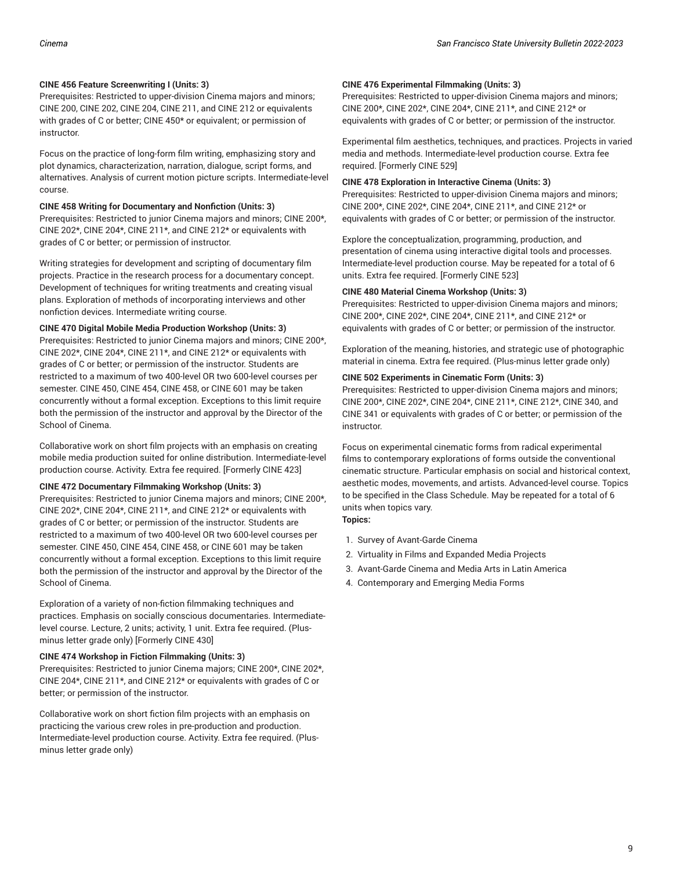#### **CINE 456 Feature Screenwriting I (Units: 3)**

grades of C or better; or permission of instructor.

Prerequisites: Restricted to upper-division Cinema majors and minors; CINE 200, CINE 202, CINE 204, CINE 211, and CINE 212 or equivalents with grades of C or better; CINE 450\* or equivalent; or permission of instructor.

Focus on the practice of long-form film writing, emphasizing story and plot dynamics, characterization, narration, dialogue, script forms, and alternatives. Analysis of current motion picture scripts. Intermediate-level course.

**CINE 458 Writing for Documentary and Nonfiction (Units: 3)** Prerequisites: Restricted to junior Cinema majors and minors; CINE 200\*, CINE 202\*, CINE 204\*, CINE 211\*, and CINE 212\* or equivalents with

Writing strategies for development and scripting of documentary film projects. Practice in the research process for a documentary concept. Development of techniques for writing treatments and creating visual plans. Exploration of methods of incorporating interviews and other nonfiction devices. Intermediate writing course.

#### **CINE 470 Digital Mobile Media Production Workshop (Units: 3)**

Prerequisites: Restricted to junior Cinema majors and minors; CINE 200\*, CINE 202\*, CINE 204\*, CINE 211\*, and CINE 212\* or equivalents with grades of C or better; or permission of the instructor. Students are restricted to a maximum of two 400-level OR two 600-level courses per semester. CINE 450, CINE 454, CINE 458, or CINE 601 may be taken concurrently without a formal exception. Exceptions to this limit require both the permission of the instructor and approval by the Director of the School of Cinema.

Collaborative work on short film projects with an emphasis on creating mobile media production suited for online distribution. Intermediate-level production course. Activity. Extra fee required. [Formerly CINE 423]

#### **CINE 472 Documentary Filmmaking Workshop (Units: 3)**

Prerequisites: Restricted to junior Cinema majors and minors; CINE 200\*, CINE 202\*, CINE 204\*, CINE 211\*, and CINE 212\* or equivalents with grades of C or better; or permission of the instructor. Students are restricted to a maximum of two 400-level OR two 600-level courses per semester. CINE 450, CINE 454, CINE 458, or CINE 601 may be taken concurrently without a formal exception. Exceptions to this limit require both the permission of the instructor and approval by the Director of the School of Cinema.

Exploration of a variety of non-fiction filmmaking techniques and practices. Emphasis on socially conscious documentaries. Intermediatelevel course. Lecture, 2 units; activity, 1 unit. Extra fee required. (Plusminus letter grade only) [Formerly CINE 430]

#### **CINE 474 Workshop in Fiction Filmmaking (Units: 3)**

Prerequisites: Restricted to junior Cinema majors; CINE 200\*, CINE 202\*, CINE 204\*, CINE 211\*, and CINE 212\* or equivalents with grades of C or better; or permission of the instructor.

Collaborative work on short fiction film projects with an emphasis on practicing the various crew roles in pre-production and production. Intermediate-level production course. Activity. Extra fee required. (Plusminus letter grade only)

#### **CINE 476 Experimental Filmmaking (Units: 3)**

Prerequisites: Restricted to upper-division Cinema majors and minors; CINE 200\*, CINE 202\*, CINE 204\*, CINE 211\*, and CINE 212\* or equivalents with grades of C or better; or permission of the instructor.

Experimental film aesthetics, techniques, and practices. Projects in varied media and methods. Intermediate-level production course. Extra fee required. [Formerly CINE 529]

#### **CINE 478 Exploration in Interactive Cinema (Units: 3)**

Prerequisites: Restricted to upper-division Cinema majors and minors; CINE 200\*, CINE 202\*, CINE 204\*, CINE 211\*, and CINE 212\* or equivalents with grades of C or better; or permission of the instructor.

Explore the conceptualization, programming, production, and presentation of cinema using interactive digital tools and processes. Intermediate-level production course. May be repeated for a total of 6 units. Extra fee required. [Formerly CINE 523]

#### **CINE 480 Material Cinema Workshop (Units: 3)**

Prerequisites: Restricted to upper-division Cinema majors and minors; CINE 200\*, CINE 202\*, CINE 204\*, CINE 211\*, and CINE 212\* or equivalents with grades of C or better; or permission of the instructor.

Exploration of the meaning, histories, and strategic use of photographic material in cinema. Extra fee required. (Plus-minus letter grade only)

#### **CINE 502 Experiments in Cinematic Form (Units: 3)**

Prerequisites: Restricted to upper-division Cinema majors and minors; CINE 200\*, CINE 202\*, CINE 204\*, CINE 211\*, CINE 212\*, CINE 340, and CINE 341 or equivalents with grades of C or better; or permission of the **instructor** 

Focus on experimental cinematic forms from radical experimental films to contemporary explorations of forms outside the conventional cinematic structure. Particular emphasis on social and historical context, aesthetic modes, movements, and artists. Advanced-level course. Topics to be specified in the Class Schedule. May be repeated for a total of 6 units when topics vary. **Topics:**

- 1. Survey of Avant-Garde Cinema
- 2. Virtuality in Films and Expanded Media Projects
- 3. Avant-Garde Cinema and Media Arts in Latin America
- 4. Contemporary and Emerging Media Forms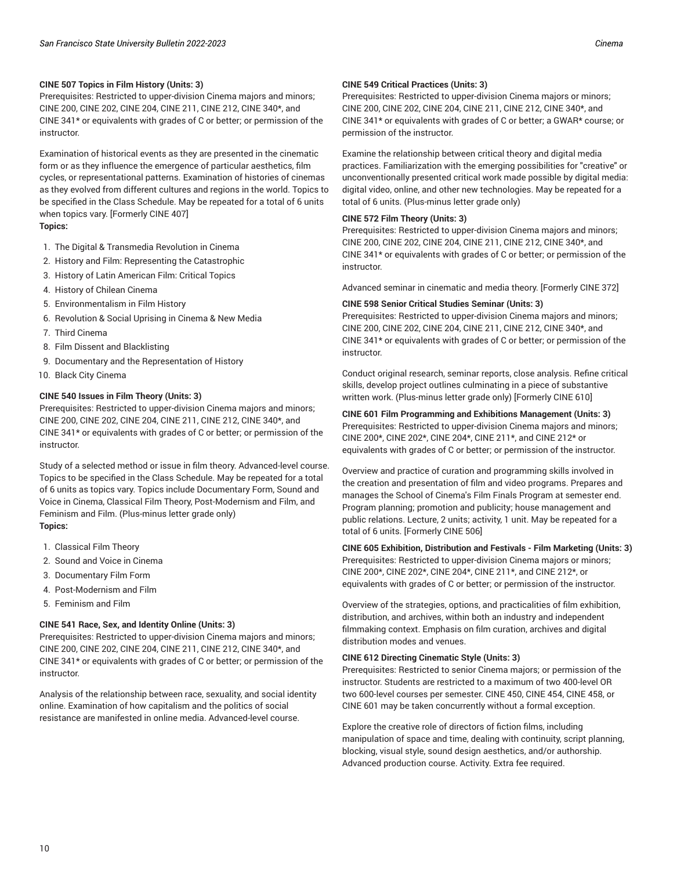Prerequisites: Restricted to upper-division Cinema majors and minors; CINE 200, CINE 202, CINE 204, CINE 211, CINE 212, CINE 340\*, and CINE 341\* or equivalents with grades of C or better; or permission of the instructor.

Examination of historical events as they are presented in the cinematic form or as they influence the emergence of particular aesthetics, film cycles, or representational patterns. Examination of histories of cinemas as they evolved from different cultures and regions in the world. Topics to be specified in the Class Schedule. May be repeated for a total of 6 units when topics vary. [Formerly CINE 407] **Topics:**

- 1. The Digital & Transmedia Revolution in Cinema
- 2. History and Film: Representing the Catastrophic
- 3. History of Latin American Film: Critical Topics
- 4. History of Chilean Cinema
- 5. Environmentalism in Film History
- 6. Revolution & Social Uprising in Cinema & New Media
- 7. Third Cinema
- 8. Film Dissent and Blacklisting
- 9. Documentary and the Representation of History
- 10. Black City Cinema

#### **CINE 540 Issues in Film Theory (Units: 3)**

Prerequisites: Restricted to upper-division Cinema majors and minors; CINE 200, CINE 202, CINE 204, CINE 211, CINE 212, CINE 340\*, and CINE 341\* or equivalents with grades of C or better; or permission of the instructor.

Study of a selected method or issue in film theory. Advanced-level course. Topics to be specified in the Class Schedule. May be repeated for a total of 6 units as topics vary. Topics include Documentary Form, Sound and Voice in Cinema, Classical Film Theory, Post-Modernism and Film, and Feminism and Film. (Plus-minus letter grade only) **Topics:**

- 1. Classical Film Theory
- 2. Sound and Voice in Cinema
- 3. Documentary Film Form
- 4. Post-Modernism and Film
- 5. Feminism and Film

#### **CINE 541 Race, Sex, and Identity Online (Units: 3)**

Prerequisites: Restricted to upper-division Cinema majors and minors; CINE 200, CINE 202, CINE 204, CINE 211, CINE 212, CINE 340\*, and CINE 341\* or equivalents with grades of C or better; or permission of the instructor.

Analysis of the relationship between race, sexuality, and social identity online. Examination of how capitalism and the politics of social resistance are manifested in online media. Advanced-level course.

#### **CINE 549 Critical Practices (Units: 3)**

Prerequisites: Restricted to upper-division Cinema majors or minors; CINE 200, CINE 202, CINE 204, CINE 211, CINE 212, CINE 340\*, and CINE 341\* or equivalents with grades of C or better; a GWAR\* course; or permission of the instructor.

Examine the relationship between critical theory and digital media practices. Familiarization with the emerging possibilities for "creative" or unconventionally presented critical work made possible by digital media: digital video, online, and other new technologies. May be repeated for a total of 6 units. (Plus-minus letter grade only)

#### **CINE 572 Film Theory (Units: 3)**

Prerequisites: Restricted to upper-division Cinema majors and minors; CINE 200, CINE 202, CINE 204, CINE 211, CINE 212, CINE 340\*, and CINE 341\* or equivalents with grades of C or better; or permission of the instructor.

Advanced seminar in cinematic and media theory. [Formerly CINE 372]

#### **CINE 598 Senior Critical Studies Seminar (Units: 3)**

Prerequisites: Restricted to upper-division Cinema majors and minors; CINE 200, CINE 202, CINE 204, CINE 211, CINE 212, CINE 340\*, and CINE 341\* or equivalents with grades of C or better; or permission of the instructor.

Conduct original research, seminar reports, close analysis. Refine critical skills, develop project outlines culminating in a piece of substantive written work. (Plus-minus letter grade only) [Formerly CINE 610]

#### **CINE 601 Film Programming and Exhibitions Management (Units: 3)**

Prerequisites: Restricted to upper-division Cinema majors and minors; CINE 200\*, CINE 202\*, CINE 204\*, CINE 211\*, and CINE 212\* or equivalents with grades of C or better; or permission of the instructor.

Overview and practice of curation and programming skills involved in the creation and presentation of film and video programs. Prepares and manages the School of Cinema's Film Finals Program at semester end. Program planning; promotion and publicity; house management and public relations. Lecture, 2 units; activity, 1 unit. May be repeated for a total of 6 units. [Formerly CINE 506]

#### **CINE 605 Exhibition, Distribution and Festivals - Film Marketing (Units: 3)** Prerequisites: Restricted to upper-division Cinema majors or minors; CINE 200\*, CINE 202\*, CINE 204\*, CINE 211\*, and CINE 212\*, or equivalents with grades of C or better; or permission of the instructor.

Overview of the strategies, options, and practicalities of film exhibition, distribution, and archives, within both an industry and independent filmmaking context. Emphasis on film curation, archives and digital distribution modes and venues.

#### **CINE 612 Directing Cinematic Style (Units: 3)**

Prerequisites: Restricted to senior Cinema majors; or permission of the instructor. Students are restricted to a maximum of two 400-level OR two 600-level courses per semester. CINE 450, CINE 454, CINE 458, or CINE 601 may be taken concurrently without a formal exception.

Explore the creative role of directors of fiction films, including manipulation of space and time, dealing with continuity, script planning, blocking, visual style, sound design aesthetics, and/or authorship. Advanced production course. Activity. Extra fee required.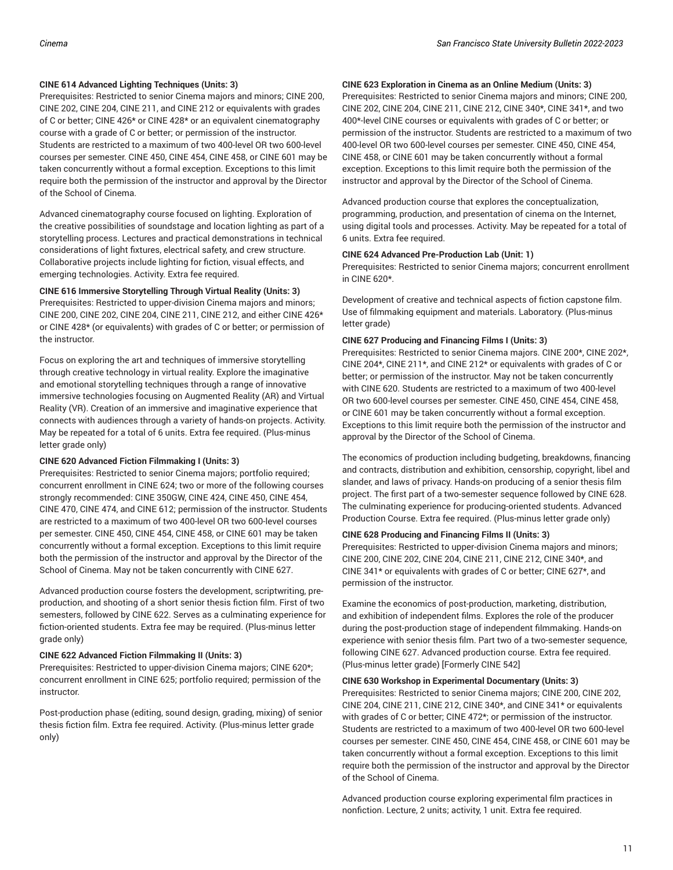#### **CINE 614 Advanced Lighting Techniques (Units: 3)**

Prerequisites: Restricted to senior Cinema majors and minors; CINE 200, CINE 202, CINE 204, CINE 211, and CINE 212 or equivalents with grades of C or better; CINE 426\* or CINE 428\* or an equivalent cinematography course with a grade of C or better; or permission of the instructor. Students are restricted to a maximum of two 400-level OR two 600-level courses per semester. CINE 450, CINE 454, CINE 458, or CINE 601 may be taken concurrently without a formal exception. Exceptions to this limit require both the permission of the instructor and approval by the Director of the School of Cinema.

Advanced cinematography course focused on lighting. Exploration of the creative possibilities of soundstage and location lighting as part of a storytelling process. Lectures and practical demonstrations in technical considerations of light fixtures, electrical safety, and crew structure. Collaborative projects include lighting for fiction, visual effects, and emerging technologies. Activity. Extra fee required.

#### **CINE 616 Immersive Storytelling Through Virtual Reality (Units: 3)**

Prerequisites: Restricted to upper-division Cinema majors and minors; CINE 200, CINE 202, CINE 204, CINE 211, CINE 212, and either CINE 426\* or CINE 428\* (or equivalents) with grades of C or better; or permission of the instructor.

Focus on exploring the art and techniques of immersive storytelling through creative technology in virtual reality. Explore the imaginative and emotional storytelling techniques through a range of innovative immersive technologies focusing on Augmented Reality (AR) and Virtual Reality (VR). Creation of an immersive and imaginative experience that connects with audiences through a variety of hands-on projects. Activity. May be repeated for a total of 6 units. Extra fee required. (Plus-minus letter grade only)

#### **CINE 620 Advanced Fiction Filmmaking I (Units: 3)**

Prerequisites: Restricted to senior Cinema majors; portfolio required; concurrent enrollment in CINE 624; two or more of the following courses strongly recommended: CINE 350GW, CINE 424, CINE 450, CINE 454, CINE 470, CINE 474, and CINE 612; permission of the instructor. Students are restricted to a maximum of two 400-level OR two 600-level courses per semester. CINE 450, CINE 454, CINE 458, or CINE 601 may be taken concurrently without a formal exception. Exceptions to this limit require both the permission of the instructor and approval by the Director of the School of Cinema. May not be taken concurrently with CINE 627.

Advanced production course fosters the development, scriptwriting, preproduction, and shooting of a short senior thesis fiction film. First of two semesters, followed by CINE 622. Serves as a culminating experience for fiction-oriented students. Extra fee may be required. (Plus-minus letter grade only)

#### **CINE 622 Advanced Fiction Filmmaking II (Units: 3)**

Prerequisites: Restricted to upper-division Cinema majors; CINE 620\*; concurrent enrollment in CINE 625; portfolio required; permission of the instructor.

Post-production phase (editing, sound design, grading, mixing) of senior thesis fiction film. Extra fee required. Activity. (Plus-minus letter grade only)

#### **CINE 623 Exploration in Cinema as an Online Medium (Units: 3)**

Prerequisites: Restricted to senior Cinema majors and minors; CINE 200, CINE 202, CINE 204, CINE 211, CINE 212, CINE 340\*, CINE 341\*, and two 400\*-level CINE courses or equivalents with grades of C or better; or permission of the instructor. Students are restricted to a maximum of two 400-level OR two 600-level courses per semester. CINE 450, CINE 454, CINE 458, or CINE 601 may be taken concurrently without a formal exception. Exceptions to this limit require both the permission of the instructor and approval by the Director of the School of Cinema.

Advanced production course that explores the conceptualization, programming, production, and presentation of cinema on the Internet, using digital tools and processes. Activity. May be repeated for a total of 6 units. Extra fee required.

#### **CINE 624 Advanced Pre-Production Lab (Unit: 1)**

Prerequisites: Restricted to senior Cinema majors; concurrent enrollment in CINE 620\*.

Development of creative and technical aspects of fiction capstone film. Use of filmmaking equipment and materials. Laboratory. (Plus-minus letter grade)

#### **CINE 627 Producing and Financing Films I (Units: 3)**

Prerequisites: Restricted to senior Cinema majors. CINE 200\*, CINE 202\*, CINE 204\*, CINE 211\*, and CINE 212\* or equivalents with grades of C or better; or permission of the instructor. May not be taken concurrently with CINE 620. Students are restricted to a maximum of two 400-level OR two 600-level courses per semester. CINE 450, CINE 454, CINE 458, or CINE 601 may be taken concurrently without a formal exception. Exceptions to this limit require both the permission of the instructor and approval by the Director of the School of Cinema.

The economics of production including budgeting, breakdowns, financing and contracts, distribution and exhibition, censorship, copyright, libel and slander, and laws of privacy. Hands-on producing of a senior thesis film project. The first part of a two-semester sequence followed by CINE 628. The culminating experience for producing-oriented students. Advanced Production Course. Extra fee required. (Plus-minus letter grade only)

#### **CINE 628 Producing and Financing Films II (Units: 3)**

Prerequisites: Restricted to upper-division Cinema majors and minors; CINE 200, CINE 202, CINE 204, CINE 211, CINE 212, CINE 340\*, and CINE 341\* or equivalents with grades of C or better; CINE 627\*, and permission of the instructor.

Examine the economics of post-production, marketing, distribution, and exhibition of independent films. Explores the role of the producer during the post-production stage of independent filmmaking. Hands-on experience with senior thesis film. Part two of a two-semester sequence, following CINE 627. Advanced production course. Extra fee required. (Plus-minus letter grade) [Formerly CINE 542]

#### **CINE 630 Workshop in Experimental Documentary (Units: 3)**

Prerequisites: Restricted to senior Cinema majors; CINE 200, CINE 202, CINE 204, CINE 211, CINE 212, CINE 340\*, and CINE 341\* or equivalents with grades of C or better; CINE 472\*; or permission of the instructor. Students are restricted to a maximum of two 400-level OR two 600-level courses per semester. CINE 450, CINE 454, CINE 458, or CINE 601 may be taken concurrently without a formal exception. Exceptions to this limit require both the permission of the instructor and approval by the Director of the School of Cinema.

Advanced production course exploring experimental film practices in nonfiction. Lecture, 2 units; activity, 1 unit. Extra fee required.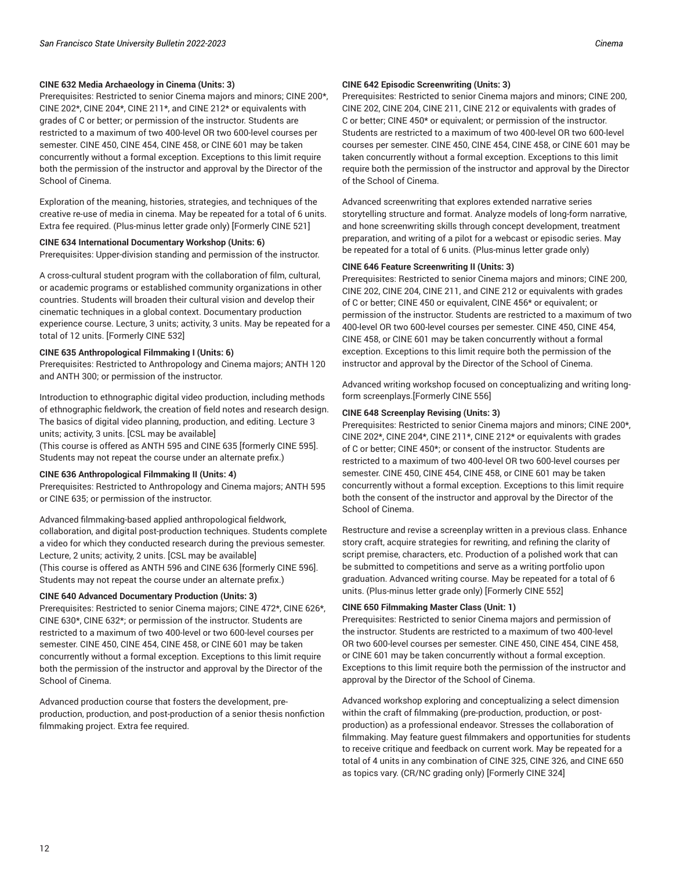#### **CINE 632 Media Archaeology in Cinema (Units: 3)**

Prerequisites: Restricted to senior Cinema majors and minors; CINE 200\*, CINE 202\*, CINE 204\*, CINE 211\*, and CINE 212\* or equivalents with grades of C or better; or permission of the instructor. Students are restricted to a maximum of two 400-level OR two 600-level courses per semester. CINE 450, CINE 454, CINE 458, or CINE 601 may be taken concurrently without a formal exception. Exceptions to this limit require both the permission of the instructor and approval by the Director of the School of Cinema.

Exploration of the meaning, histories, strategies, and techniques of the creative re-use of media in cinema. May be repeated for a total of 6 units. Extra fee required. (Plus-minus letter grade only) [Formerly CINE 521]

#### **CINE 634 International Documentary Workshop (Units: 6)**

Prerequisites: Upper-division standing and permission of the instructor.

A cross-cultural student program with the collaboration of film, cultural, or academic programs or established community organizations in other countries. Students will broaden their cultural vision and develop their cinematic techniques in a global context. Documentary production experience course. Lecture, 3 units; activity, 3 units. May be repeated for a total of 12 units. [Formerly CINE 532]

#### **CINE 635 Anthropological Filmmaking I (Units: 6)**

Prerequisites: Restricted to Anthropology and Cinema majors; ANTH 120 and ANTH 300; or permission of the instructor.

Introduction to ethnographic digital video production, including methods of ethnographic fieldwork, the creation of field notes and research design. The basics of digital video planning, production, and editing. Lecture 3 units; activity, 3 units. [CSL may be available]

(This course is offered as ANTH 595 and CINE 635 [formerly CINE 595]. Students may not repeat the course under an alternate prefix.)

#### **CINE 636 Anthropological Filmmaking II (Units: 4)**

Prerequisites: Restricted to Anthropology and Cinema majors; ANTH 595 or CINE 635; or permission of the instructor.

Advanced filmmaking-based applied anthropological fieldwork, collaboration, and digital post-production techniques. Students complete a video for which they conducted research during the previous semester. Lecture, 2 units; activity, 2 units. [CSL may be available] (This course is offered as ANTH 596 and CINE 636 [formerly CINE 596]. Students may not repeat the course under an alternate prefix.)

#### **CINE 640 Advanced Documentary Production (Units: 3)**

Prerequisites: Restricted to senior Cinema majors; CINE 472\*, CINE 626\*, CINE 630\*, CINE 632\*; or permission of the instructor. Students are restricted to a maximum of two 400-level or two 600-level courses per semester. CINE 450, CINE 454, CINE 458, or CINE 601 may be taken concurrently without a formal exception. Exceptions to this limit require both the permission of the instructor and approval by the Director of the School of Cinema.

Advanced production course that fosters the development, preproduction, production, and post-production of a senior thesis nonfiction filmmaking project. Extra fee required.

#### **CINE 642 Episodic Screenwriting (Units: 3)**

Prerequisites: Restricted to senior Cinema majors and minors; CINE 200, CINE 202, CINE 204, CINE 211, CINE 212 or equivalents with grades of C or better; CINE 450\* or equivalent; or permission of the instructor. Students are restricted to a maximum of two 400-level OR two 600-level courses per semester. CINE 450, CINE 454, CINE 458, or CINE 601 may be taken concurrently without a formal exception. Exceptions to this limit require both the permission of the instructor and approval by the Director of the School of Cinema.

Advanced screenwriting that explores extended narrative series storytelling structure and format. Analyze models of long-form narrative, and hone screenwriting skills through concept development, treatment preparation, and writing of a pilot for a webcast or episodic series. May be repeated for a total of 6 units. (Plus-minus letter grade only)

#### **CINE 646 Feature Screenwriting II (Units: 3)**

Prerequisites: Restricted to senior Cinema majors and minors; CINE 200, CINE 202, CINE 204, CINE 211, and CINE 212 or equivalents with grades of C or better; CINE 450 or equivalent, CINE 456\* or equivalent; or permission of the instructor. Students are restricted to a maximum of two 400-level OR two 600-level courses per semester. CINE 450, CINE 454, CINE 458, or CINE 601 may be taken concurrently without a formal exception. Exceptions to this limit require both the permission of the instructor and approval by the Director of the School of Cinema.

Advanced writing workshop focused on conceptualizing and writing longform screenplays.[Formerly CINE 556]

#### **CINE 648 Screenplay Revising (Units: 3)**

Prerequisites: Restricted to senior Cinema majors and minors; CINE 200\*, CINE 202\*, CINE 204\*, CINE 211\*, CINE 212\* or equivalents with grades of C or better; CINE 450\*; or consent of the instructor. Students are restricted to a maximum of two 400-level OR two 600-level courses per semester. CINE 450, CINE 454, CINE 458, or CINE 601 may be taken concurrently without a formal exception. Exceptions to this limit require both the consent of the instructor and approval by the Director of the School of Cinema.

Restructure and revise a screenplay written in a previous class. Enhance story craft, acquire strategies for rewriting, and refining the clarity of script premise, characters, etc. Production of a polished work that can be submitted to competitions and serve as a writing portfolio upon graduation. Advanced writing course. May be repeated for a total of 6 units. (Plus-minus letter grade only) [Formerly CINE 552]

#### **CINE 650 Filmmaking Master Class (Unit: 1)**

Prerequisites: Restricted to senior Cinema majors and permission of the instructor. Students are restricted to a maximum of two 400-level OR two 600-level courses per semester. CINE 450, CINE 454, CINE 458, or CINE 601 may be taken concurrently without a formal exception. Exceptions to this limit require both the permission of the instructor and approval by the Director of the School of Cinema.

Advanced workshop exploring and conceptualizing a select dimension within the craft of filmmaking (pre-production, production, or postproduction) as a professional endeavor. Stresses the collaboration of filmmaking. May feature guest filmmakers and opportunities for students to receive critique and feedback on current work. May be repeated for a total of 4 units in any combination of CINE 325, CINE 326, and CINE 650 as topics vary. (CR/NC grading only) [Formerly CINE 324]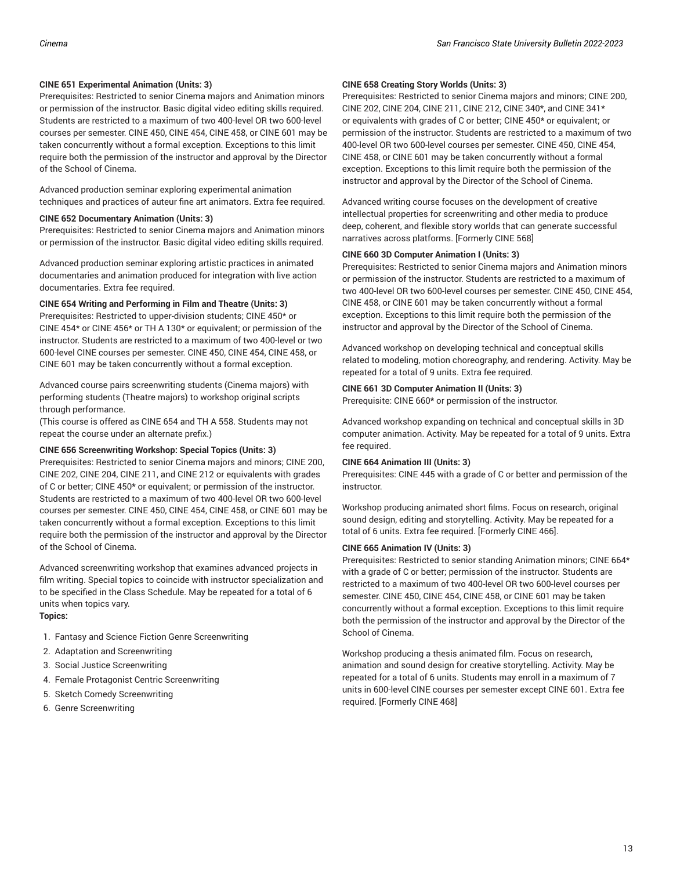#### **CINE 651 Experimental Animation (Units: 3)**

Prerequisites: Restricted to senior Cinema majors and Animation minors or permission of the instructor. Basic digital video editing skills required. Students are restricted to a maximum of two 400-level OR two 600-level courses per semester. CINE 450, CINE 454, CINE 458, or CINE 601 may be taken concurrently without a formal exception. Exceptions to this limit require both the permission of the instructor and approval by the Director of the School of Cinema.

Advanced production seminar exploring experimental animation techniques and practices of auteur fine art animators. Extra fee required.

#### **CINE 652 Documentary Animation (Units: 3)**

Prerequisites: Restricted to senior Cinema majors and Animation minors or permission of the instructor. Basic digital video editing skills required.

Advanced production seminar exploring artistic practices in animated documentaries and animation produced for integration with live action documentaries. Extra fee required.

#### **CINE 654 Writing and Performing in Film and Theatre (Units: 3)**

Prerequisites: Restricted to upper-division students; CINE 450\* or CINE 454\* or CINE 456\* or TH A 130\* or equivalent; or permission of the instructor. Students are restricted to a maximum of two 400-level or two 600-level CINE courses per semester. CINE 450, CINE 454, CINE 458, or CINE 601 may be taken concurrently without a formal exception.

Advanced course pairs screenwriting students (Cinema majors) with performing students (Theatre majors) to workshop original scripts through performance.

(This course is offered as CINE 654 and TH A 558. Students may not repeat the course under an alternate prefix.)

#### **CINE 656 Screenwriting Workshop: Special Topics (Units: 3)**

Prerequisites: Restricted to senior Cinema majors and minors; CINE 200, CINE 202, CINE 204, CINE 211, and CINE 212 or equivalents with grades of C or better; CINE 450\* or equivalent; or permission of the instructor. Students are restricted to a maximum of two 400-level OR two 600-level courses per semester. CINE 450, CINE 454, CINE 458, or CINE 601 may be taken concurrently without a formal exception. Exceptions to this limit require both the permission of the instructor and approval by the Director of the School of Cinema.

Advanced screenwriting workshop that examines advanced projects in film writing. Special topics to coincide with instructor specialization and to be specified in the Class Schedule. May be repeated for a total of 6 units when topics vary.

## **Topics:**

- 1. Fantasy and Science Fiction Genre Screenwriting
- 2. Adaptation and Screenwriting
- 3. Social Justice Screenwriting
- 4. Female Protagonist Centric Screenwriting
- 5. Sketch Comedy Screenwriting
- 6. Genre Screenwriting

#### **CINE 658 Creating Story Worlds (Units: 3)**

Prerequisites: Restricted to senior Cinema majors and minors; CINE 200, CINE 202, CINE 204, CINE 211, CINE 212, CINE 340\*, and CINE 341\* or equivalents with grades of C or better; CINE 450\* or equivalent; or permission of the instructor. Students are restricted to a maximum of two 400-level OR two 600-level courses per semester. CINE 450, CINE 454, CINE 458, or CINE 601 may be taken concurrently without a formal exception. Exceptions to this limit require both the permission of the instructor and approval by the Director of the School of Cinema.

Advanced writing course focuses on the development of creative intellectual properties for screenwriting and other media to produce deep, coherent, and flexible story worlds that can generate successful narratives across platforms. [Formerly CINE 568]

#### **CINE 660 3D Computer Animation I (Units: 3)**

Prerequisites: Restricted to senior Cinema majors and Animation minors or permission of the instructor. Students are restricted to a maximum of two 400-level OR two 600-level courses per semester. CINE 450, CINE 454, CINE 458, or CINE 601 may be taken concurrently without a formal exception. Exceptions to this limit require both the permission of the instructor and approval by the Director of the School of Cinema.

Advanced workshop on developing technical and conceptual skills related to modeling, motion choreography, and rendering. Activity. May be repeated for a total of 9 units. Extra fee required.

#### **CINE 661 3D Computer Animation II (Units: 3)**

Prerequisite: CINE 660\* or permission of the instructor.

Advanced workshop expanding on technical and conceptual skills in 3D computer animation. Activity. May be repeated for a total of 9 units. Extra fee required.

#### **CINE 664 Animation III (Units: 3)**

Prerequisites: CINE 445 with a grade of C or better and permission of the instructor.

Workshop producing animated short films. Focus on research, original sound design, editing and storytelling. Activity. May be repeated for a total of 6 units. Extra fee required. [Formerly CINE 466].

#### **CINE 665 Animation IV (Units: 3)**

Prerequisites: Restricted to senior standing Animation minors; CINE 664\* with a grade of C or better; permission of the instructor. Students are restricted to a maximum of two 400-level OR two 600-level courses per semester. CINE 450, CINE 454, CINE 458, or CINE 601 may be taken concurrently without a formal exception. Exceptions to this limit require both the permission of the instructor and approval by the Director of the School of Cinema.

Workshop producing a thesis animated film. Focus on research, animation and sound design for creative storytelling. Activity. May be repeated for a total of 6 units. Students may enroll in a maximum of 7 units in 600-level CINE courses per semester except CINE 601. Extra fee required. [Formerly CINE 468]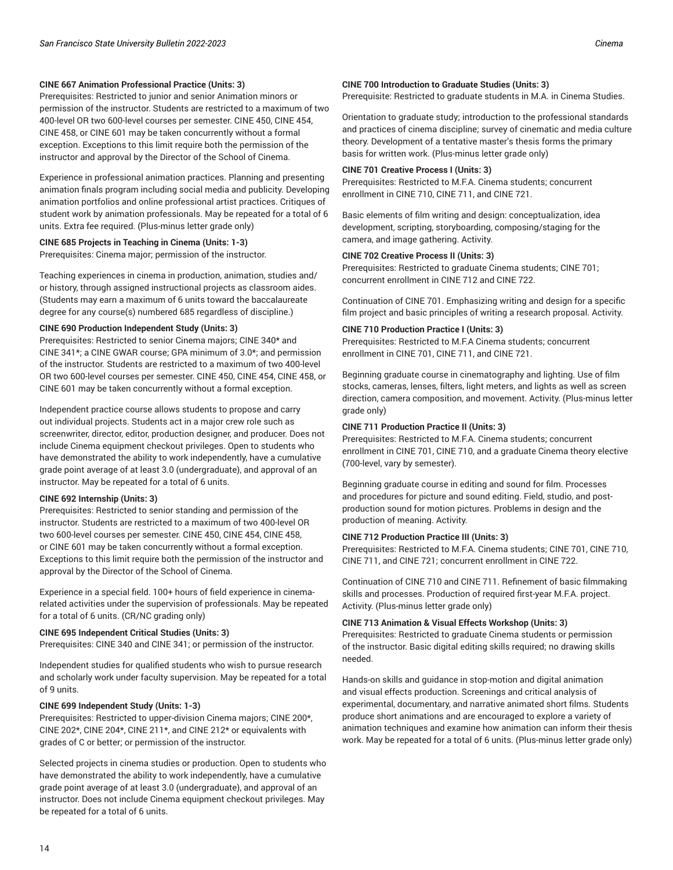#### **CINE 667 Animation Professional Practice (Units: 3)**

Prerequisites: Restricted to junior and senior Animation minors or permission of the instructor. Students are restricted to a maximum of two 400-level OR two 600-level courses per semester. CINE 450, CINE 454, CINE 458, or CINE 601 may be taken concurrently without a formal exception. Exceptions to this limit require both the permission of the instructor and approval by the Director of the School of Cinema.

Experience in professional animation practices. Planning and presenting animation finals program including social media and publicity. Developing animation portfolios and online professional artist practices. Critiques of student work by animation professionals. May be repeated for a total of 6 units. Extra fee required. (Plus-minus letter grade only)

#### **CINE 685 Projects in Teaching in Cinema (Units: 1-3)**

Prerequisites: Cinema major; permission of the instructor.

Teaching experiences in cinema in production, animation, studies and/ or history, through assigned instructional projects as classroom aides. (Students may earn a maximum of 6 units toward the baccalaureate degree for any course(s) numbered 685 regardless of discipline.)

#### **CINE 690 Production Independent Study (Units: 3)**

Prerequisites: Restricted to senior Cinema majors; CINE 340\* and CINE 341\*; a CINE GWAR course; GPA minimum of 3.0\*; and permission of the instructor. Students are restricted to a maximum of two 400-level OR two 600-level courses per semester. CINE 450, CINE 454, CINE 458, or CINE 601 may be taken concurrently without a formal exception.

Independent practice course allows students to propose and carry out individual projects. Students act in a major crew role such as screenwriter, director, editor, production designer, and producer. Does not include Cinema equipment checkout privileges. Open to students who have demonstrated the ability to work independently, have a cumulative grade point average of at least 3.0 (undergraduate), and approval of an instructor. May be repeated for a total of 6 units.

#### **CINE 692 Internship (Units: 3)**

Prerequisites: Restricted to senior standing and permission of the instructor. Students are restricted to a maximum of two 400-level OR two 600-level courses per semester. CINE 450, CINE 454, CINE 458, or CINE 601 may be taken concurrently without a formal exception. Exceptions to this limit require both the permission of the instructor and approval by the Director of the School of Cinema.

Experience in a special field. 100+ hours of field experience in cinemarelated activities under the supervision of professionals. May be repeated for a total of 6 units. (CR/NC grading only)

#### **CINE 695 Independent Critical Studies (Units: 3)**

Prerequisites: CINE 340 and CINE 341; or permission of the instructor.

Independent studies for qualified students who wish to pursue research and scholarly work under faculty supervision. May be repeated for a total of 9 units.

#### **CINE 699 Independent Study (Units: 1-3)**

Prerequisites: Restricted to upper-division Cinema majors; CINE 200\*, CINE 202\*, CINE 204\*, CINE 211\*, and CINE 212\* or equivalents with grades of C or better; or permission of the instructor.

Selected projects in cinema studies or production. Open to students who have demonstrated the ability to work independently, have a cumulative grade point average of at least 3.0 (undergraduate), and approval of an instructor. Does not include Cinema equipment checkout privileges. May be repeated for a total of 6 units.

#### **CINE 700 Introduction to Graduate Studies (Units: 3)**

Prerequisite: Restricted to graduate students in M.A. in Cinema Studies.

Orientation to graduate study; introduction to the professional standards and practices of cinema discipline; survey of cinematic and media culture theory. Development of a tentative master's thesis forms the primary basis for written work. (Plus-minus letter grade only)

#### **CINE 701 Creative Process I (Units: 3)**

Prerequisites: Restricted to M.F.A. Cinema students; concurrent enrollment in CINE 710, CINE 711, and CINE 721.

Basic elements of film writing and design: conceptualization, idea development, scripting, storyboarding, composing/staging for the camera, and image gathering. Activity.

#### **CINE 702 Creative Process II (Units: 3)**

Prerequisites: Restricted to graduate Cinema students; CINE 701; concurrent enrollment in CINE 712 and CINE 722.

Continuation of CINE 701. Emphasizing writing and design for a specific film project and basic principles of writing a research proposal. Activity.

#### **CINE 710 Production Practice I (Units: 3)**

Prerequisites: Restricted to M.F.A Cinema students; concurrent enrollment in CINE 701, CINE 711, and CINE 721.

Beginning graduate course in cinematography and lighting. Use of film stocks, cameras, lenses, filters, light meters, and lights as well as screen direction, camera composition, and movement. Activity. (Plus-minus letter grade only)

#### **CINE 711 Production Practice II (Units: 3)**

Prerequisites: Restricted to M.F.A. Cinema students; concurrent enrollment in CINE 701, CINE 710, and a graduate Cinema theory elective (700-level, vary by semester).

Beginning graduate course in editing and sound for film. Processes and procedures for picture and sound editing. Field, studio, and postproduction sound for motion pictures. Problems in design and the production of meaning. Activity.

#### **CINE 712 Production Practice III (Units: 3)**

Prerequisites: Restricted to M.F.A. Cinema students; CINE 701, CINE 710, CINE 711, and CINE 721; concurrent enrollment in CINE 722.

Continuation of CINE 710 and CINE 711. Refinement of basic filmmaking skills and processes. Production of required first-year M.F.A. project. Activity. (Plus-minus letter grade only)

#### **CINE 713 Animation & Visual Effects Workshop (Units: 3)**

Prerequisites: Restricted to graduate Cinema students or permission of the instructor. Basic digital editing skills required; no drawing skills needed.

Hands-on skills and guidance in stop-motion and digital animation and visual effects production. Screenings and critical analysis of experimental, documentary, and narrative animated short films. Students produce short animations and are encouraged to explore a variety of animation techniques and examine how animation can inform their thesis work. May be repeated for a total of 6 units. (Plus-minus letter grade only)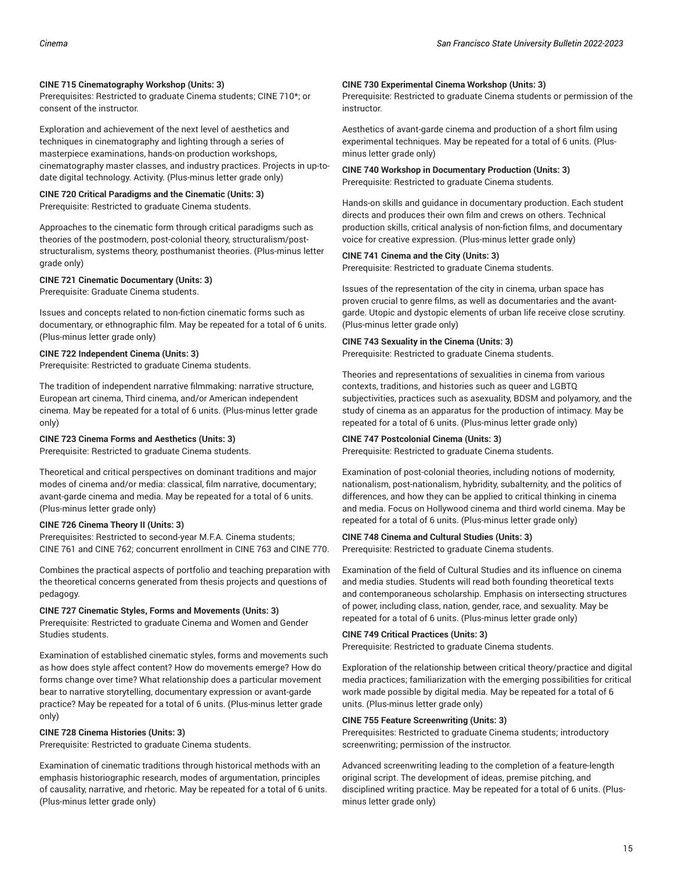#### **CINE 715 Cinematography Workshop (Units: 3)**

Prerequisites: Restricted to graduate Cinema students; CINE 710\*; or consent of the instructor.

Exploration and achievement of the next level of aesthetics and techniques in cinematography and lighting through a series of masterpiece examinations, hands-on production workshops, cinematography master classes, and industry practices. Projects in up-todate digital technology. Activity. (Plus-minus letter grade only)

#### **CINE 720 Critical Paradigms and the Cinematic (Units: 3)** Prerequisite: Restricted to graduate Cinema students.

Approaches to the cinematic form through critical paradigms such as theories of the postmodern, post-colonial theory, structuralism/poststructuralism, systems theory, posthumanist theories. (Plus-minus letter grade only)

## **CINE 721 Cinematic Documentary (Units: 3)**

Prerequisite: Graduate Cinema students.

Issues and concepts related to non-fiction cinematic forms such as documentary, or ethnographic film. May be repeated for a total of 6 units. (Plus-minus letter grade only)

## **CINE 722 Independent Cinema (Units: 3)**

Prerequisite: Restricted to graduate Cinema students.

The tradition of independent narrative filmmaking: narrative structure, European art cinema, Third cinema, and/or American independent cinema. May be repeated for a total of 6 units. (Plus-minus letter grade only)

### **CINE 723 Cinema Forms and Aesthetics (Units: 3)**

Prerequisite: Restricted to graduate Cinema students.

Theoretical and critical perspectives on dominant traditions and major modes of cinema and/or media: classical, film narrative, documentary; avant-garde cinema and media. May be repeated for a total of 6 units. (Plus-minus letter grade only)

### **CINE 726 Cinema Theory II (Units: 3)**

Prerequisites: Restricted to second-year M.F.A. Cinema students; CINE 761 and CINE 762; concurrent enrollment in CINE 763 and CINE 770.

Combines the practical aspects of portfolio and teaching preparation with the theoretical concerns generated from thesis projects and questions of pedagogy.

### **CINE 727 Cinematic Styles, Forms and Movements (Units: 3)**

Prerequisite: Restricted to graduate Cinema and Women and Gender Studies students.

Examination of established cinematic styles, forms and movements such as how does style affect content? How do movements emerge? How do forms change over time? What relationship does a particular movement bear to narrative storytelling, documentary expression or avant-garde practice? May be repeated for a total of 6 units. (Plus-minus letter grade only)

### **CINE 728 Cinema Histories (Units: 3)**

Prerequisite: Restricted to graduate Cinema students.

Examination of cinematic traditions through historical methods with an emphasis historiographic research, modes of argumentation, principles of causality, narrative, and rhetoric. May be repeated for a total of 6 units. (Plus-minus letter grade only)

### **CINE 730 Experimental Cinema Workshop (Units: 3)**

Prerequisite: Restricted to graduate Cinema students or permission of the instructor.

Aesthetics of avant-garde cinema and production of a short film using experimental techniques. May be repeated for a total of 6 units. (Plusminus letter grade only)

#### **CINE 740 Workshop in Documentary Production (Units: 3)** Prerequisite: Restricted to graduate Cinema students.

Hands-on skills and guidance in documentary production. Each student directs and produces their own film and crews on others. Technical production skills, critical analysis of non-fiction films, and documentary voice for creative expression. (Plus-minus letter grade only)

### **CINE 741 Cinema and the City (Units: 3)**

Prerequisite: Restricted to graduate Cinema students.

Issues of the representation of the city in cinema, urban space has proven crucial to genre films, as well as documentaries and the avantgarde. Utopic and dystopic elements of urban life receive close scrutiny. (Plus-minus letter grade only)

## **CINE 743 Sexuality in the Cinema (Units: 3)**

Prerequisite: Restricted to graduate Cinema students.

Theories and representations of sexualities in cinema from various contexts, traditions, and histories such as queer and LGBTQ subjectivities, practices such as asexuality, BDSM and polyamory, and the study of cinema as an apparatus for the production of intimacy. May be repeated for a total of 6 units. (Plus-minus letter grade only)

### **CINE 747 Postcolonial Cinema (Units: 3)**

Prerequisite: Restricted to graduate Cinema students.

Examination of post-colonial theories, including notions of modernity, nationalism, post-nationalism, hybridity, subalternity, and the politics of differences, and how they can be applied to critical thinking in cinema and media. Focus on Hollywood cinema and third world cinema. May be repeated for a total of 6 units. (Plus-minus letter grade only)

## **CINE 748 Cinema and Cultural Studies (Units: 3)**

Prerequisite: Restricted to graduate Cinema students.

Examination of the field of Cultural Studies and its influence on cinema and media studies. Students will read both founding theoretical texts and contemporaneous scholarship. Emphasis on intersecting structures of power, including class, nation, gender, race, and sexuality. May be repeated for a total of 6 units. (Plus-minus letter grade only)

### **CINE 749 Critical Practices (Units: 3)**

Prerequisite: Restricted to graduate Cinema students.

Exploration of the relationship between critical theory/practice and digital media practices; familiarization with the emerging possibilities for critical work made possible by digital media. May be repeated for a total of 6 units. (Plus-minus letter grade only)

### **CINE 755 Feature Screenwriting (Units: 3)**

Prerequisites: Restricted to graduate Cinema students; introductory screenwriting; permission of the instructor.

Advanced screenwriting leading to the completion of a feature-length original script. The development of ideas, premise pitching, and disciplined writing practice. May be repeated for a total of 6 units. (Plusminus letter grade only)